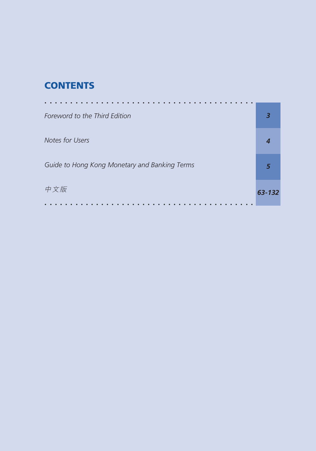## **CONTENTS**

| Foreword to the Third Edition                 | 3      |
|-----------------------------------------------|--------|
| Notes for Users                               | 4      |
| Guide to Hong Kong Monetary and Banking Terms | 5      |
| 中文版                                           | 63-132 |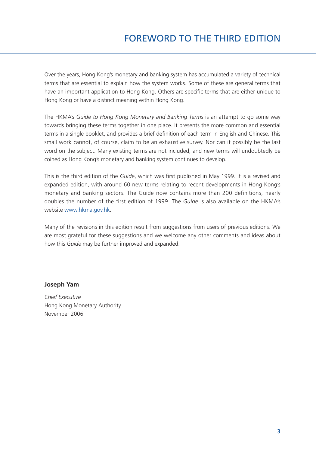Over the years, Hong Kong's monetary and banking system has accumulated a variety of technical terms that are essential to explain how the system works. Some of these are general terms that have an important application to Hong Kong. Others are specific terms that are either unique to Hong Kong or have a distinct meaning within Hong Kong.

The HKMA's *Guide to Hong Kong Monetary and Banking Terms* is an attempt to go some way towards bringing these terms together in one place. It presents the more common and essential terms in a single booklet, and provides a brief definition of each term in English and Chinese. This small work cannot, of course, claim to be an exhaustive survey. Nor can it possibly be the last word on the subject. Many existing terms are not included, and new terms will undoubtedly be coined as Hong Kong's monetary and banking system continues to develop.

This is the third edition of the *Guide*, which was first published in May 1999. It is a revised and expanded edition, with around 60 new terms relating to recent developments in Hong Kong's monetary and banking sectors. The Guide now contains more than 200 definitions, nearly doubles the number of the first edition of 1999. The *Guide* is also available on the HKMA's website www.hkma.gov.hk.

Many of the revisions in this edition result from suggestions from users of previous editions. We are most grateful for these suggestions and we welcome any other comments and ideas about how this *Guide* may be further improved and expanded.

#### **Joseph Yam**

*Chief Executive* Hong Kong Monetary Authority November 2006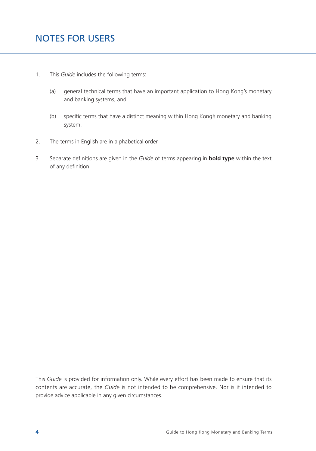- 1. This *Guide* includes the following terms:
	- (a) general technical terms that have an important application to Hong Kong's monetary and banking systems; and
	- (b) specific terms that have a distinct meaning within Hong Kong's monetary and banking system.
- 2. The terms in English are in alphabetical order.
- 3. Separate definitions are given in the *Guide* of terms appearing in **bold type** within the text of any definition.

This *Guide* is provided for information only. While every effort has been made to ensure that its contents are accurate, the *Guide* is not intended to be comprehensive. Nor is it intended to provide advice applicable in any given circumstances.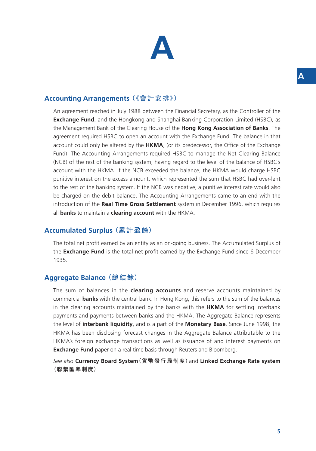## **Accounting Arrangements (《會計安排》)**

An agreement reached in July 1988 between the Financial Secretary, as the Controller of the **Exchange Fund**, and the Hongkong and Shanghai Banking Corporation Limited (HSBC), as the Management Bank of the Clearing House of the **Hong Kong Association of Banks**. The agreement required HSBC to open an account with the Exchange Fund. The balance in that account could only be altered by the **HKMA**, (or its predecessor, the Office of the Exchange Fund). The Accounting Arrangements required HSBC to manage the Net Clearing Balance (NCB) of the rest of the banking system, having regard to the level of the balance of HSBC's account with the HKMA. If the NCB exceeded the balance, the HKMA would charge HSBC punitive interest on the excess amount, which represented the sum that HSBC had over-lent to the rest of the banking system. If the NCB was negative, a punitive interest rate would also be charged on the debit balance. The Accounting Arrangements came to an end with the introduction of the **Real Time Gross Settlement** system in December 1996, which requires all **banks** to maintain a **clearing account** with the HKMA.

#### **Accumulated Surplus (累計盈餘)**

The total net profit earned by an entity as an on-going business. The Accumulated Surplus of the **Exchange Fund** is the total net profit earned by the Exchange Fund since 6 December 1935.

#### **Aggregate Balance (總結餘)**

The sum of balances in the **clearing accounts** and reserve accounts maintained by commercial **banks** with the central bank. In Hong Kong, this refers to the sum of the balances in the clearing accounts maintained by the banks with the **HKMA** for settling interbank payments and payments between banks and the HKMA. The Aggregate Balance represents the level of **interbank liquidity**, and is a part of the **Monetary Base**. Since June 1998, the HKMA has been disclosing forecast changes in the Aggregate Balance attributable to the HKMA's foreign exchange transactions as well as issuance of and interest payments on **Exchange Fund** paper on a real time basis through Reuters and Bloomberg.

*See also* **Currency Board System(貨幣發行局制度)**and **Linked Exchange Rate system (聯繫匯率制度)**.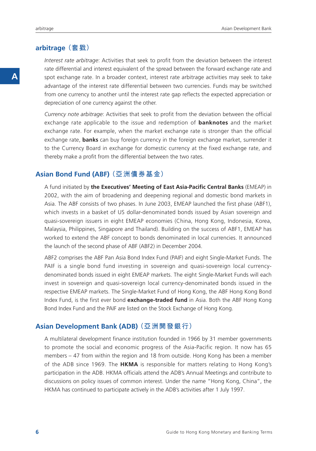#### **arbitrage (套戥)**

*Interest rate arbitrage*: Activities that seek to profit from the deviation between the interest rate differential and interest equivalent of the spread between the forward exchange rate and spot exchange rate. In a broader context, interest rate arbitrage activities may seek to take advantage of the interest rate differential between two currencies. Funds may be switched from one currency to another until the interest rate gap reflects the expected appreciation or depreciation of one currency against the other.

*Currency note arbitrage*: Activities that seek to profit from the deviation between the official exchange rate applicable to the issue and redemption of **banknotes** and the market exchange rate. For example, when the market exchange rate is stronger than the official exchange rate, **banks** can buy foreign currency in the foreign exchange market, surrender it to the Currency Board in exchange for domestic currency at the fixed exchange rate, and thereby make a profit from the differential between the two rates.

## **Asian Bond Fund (ABF) (亞洲債券基金)**

A fund initiated by **the Executives' Meeting of East Asia-Pacific Central Banks** (EMEAP) in 2002, with the aim of broadening and deepening regional and domestic bond markets in Asia. The ABF consists of two phases. In June 2003, EMEAP launched the first phase (ABF1), which invests in a basket of US dollar-denominated bonds issued by Asian sovereign and quasi-sovereign issuers in eight EMEAP economies (China, Hong Kong, Indonesia, Korea, Malaysia, Philippines, Singapore and Thailand). Building on the success of ABF1, EMEAP has worked to extend the ABF concept to bonds denominated in local currencies. It announced the launch of the second phase of ABF (ABF2) in December 2004.

ABF2 comprises the ABF Pan Asia Bond Index Fund (PAIF) and eight Single-Market Funds. The PAIF is a single bond fund investing in sovereign and quasi-sovereign local currencydenominated bonds issued in eight EMEAP markets. The eight Single-Market Funds will each invest in sovereign and quasi-sovereign local currency-denominated bonds issued in the respective EMEAP markets. The Single-Market Fund of Hong Kong, the ABF Hong Kong Bond Index Fund, is the first ever bond **exchange-traded fund** in Asia. Both the ABF Hong Kong Bond Index Fund and the PAIF are listed on the Stock Exchange of Hong Kong.

#### **Asian Development Bank (ADB) (亞洲開發銀行)**

A multilateral development finance institution founded in 1966 by 31 member governments to promote the social and economic progress of the Asia-Pacific region. It now has 65 members – 47 from within the region and 18 from outside. Hong Kong has been a member of the ADB since 1969. The **HKMA** is responsible for matters relating to Hong Kong's participation in the ADB. HKMA officials attend the ADB's Annual Meetings and contribute to discussions on policy issues of common interest. Under the name "Hong Kong, China", the HKMA has continued to participate actively in the ADB's activities after 1 July 1997.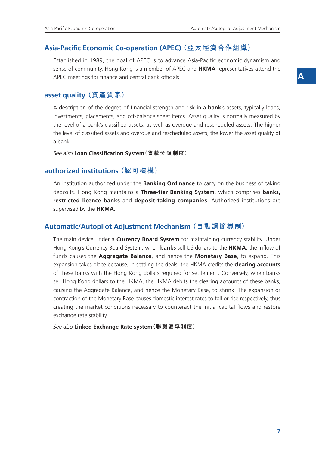## **Asia-Pacific Economic Co-operation (APEC) (亞太經濟合作組織)**

Established in 1989, the goal of APEC is to advance Asia-Pacific economic dynamism and sense of community. Hong Kong is a member of APEC and **HKMA** representatives attend the APEC meetings for finance and central bank officials.

#### **asset quality (資產質素)**

A description of the degree of financial strength and risk in a **bank**'s assets, typically loans, investments, placements, and off-balance sheet items. Asset quality is normally measured by the level of a bank's classified assets, as well as overdue and rescheduled assets. The higher the level of classified assets and overdue and rescheduled assets, the lower the asset quality of a bank.

*See also* **Loan Classification System(貸款分類制度)**.

#### **authorized institutions (認可機構)**

An institution authorized under the **Banking Ordinance** to carry on the business of taking deposits. Hong Kong maintains a **Three-tier Banking System**, which comprises **banks, restricted licence banks** and **deposit-taking companies**. Authorized institutions are supervised by the **HKMA**.

#### **Automatic/Autopilot Adjustment Mechanism (自動調節機制)**

The main device under a **Currency Board System** for maintaining currency stability. Under Hong Kong's Currency Board System, when **banks** sell US dollars to the **HKMA**, the inflow of funds causes the **Aggregate Balance**, and hence the **Monetary Base**, to expand. This expansion takes place because, in settling the deals, the HKMA credits the **clearing accounts** of these banks with the Hong Kong dollars required for settlement. Conversely, when banks sell Hong Kong dollars to the HKMA, the HKMA debits the clearing accounts of these banks, causing the Aggregate Balance, and hence the Monetary Base, to shrink. The expansion or contraction of the Monetary Base causes domestic interest rates to fall or rise respectively, thus creating the market conditions necessary to counteract the initial capital flows and restore exchange rate stability.

*See also* **Linked Exchange Rate system(聯繫匯率制度)**.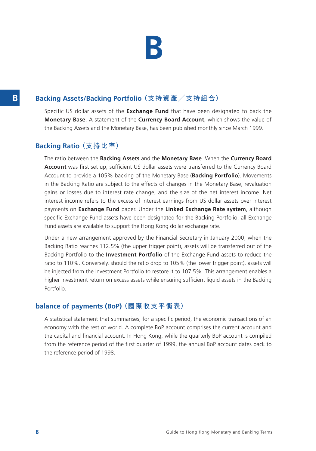

## **B Backing Assets/Backing Portfolio (支持資產/支持組合)**

Specific US dollar assets of the **Exchange Fund** that have been designated to back the **Monetary Base**. A statement of the **Currency Board Account**, which shows the value of the Backing Assets and the Monetary Base, has been published monthly since March 1999.

#### **Backing Ratio (支持比率)**

The ratio between the **Backing Assets** and the **Monetary Base**. When the **Currency Board Account** was first set up, sufficient US dollar assets were transferred to the Currency Board Account to provide a 105% backing of the Monetary Base (**Backing Portfolio**). Movements in the Backing Ratio are subject to the effects of changes in the Monetary Base, revaluation gains or losses due to interest rate change, and the size of the net interest income. Net interest income refers to the excess of interest earnings from US dollar assets over interest payments on **Exchange Fund** paper. Under the **Linked Exchange Rate system**, although specific Exchange Fund assets have been designated for the Backing Portfolio, all Exchange Fund assets are available to support the Hong Kong dollar exchange rate.

Under a new arrangement approved by the Financial Secretary in January 2000, when the Backing Ratio reaches 112.5% (the upper trigger point), assets will be transferred out of the Backing Portfolio to the **Investment Portfolio** of the Exchange Fund assets to reduce the ratio to 110%. Conversely, should the ratio drop to 105% (the lower trigger point), assets will be injected from the Investment Portfolio to restore it to 107.5%. This arrangement enables a higher investment return on excess assets while ensuring sufficient liquid assets in the Backing Portfolio.

#### **balance of payments (BoP) (國際收支平衡表)**

A statistical statement that summarises, for a specific period, the economic transactions of an economy with the rest of world. A complete BoP account comprises the current account and the capital and financial account. In Hong Kong, while the quarterly BoP account is compiled from the reference period of the first quarter of 1999, the annual BoP account dates back to the reference period of 1998.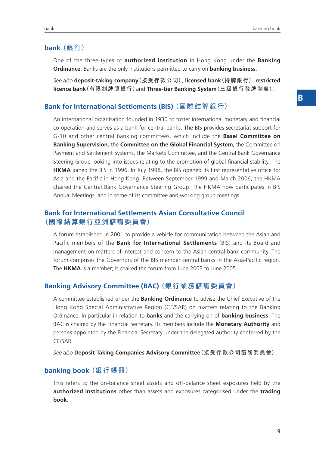#### **bank (銀行)**

One of the three types of **authorized institution** in Hong Kong under the **Banking Ordinance**. Banks are the only institutions permitted to carry on **banking business**.

*See also* **deposit-taking company(接受存款公司)**, **licensed bank(持牌銀行)**, **restricted licence bank(有限制牌照銀行)**and **Three-tier Banking System(三級銀行發牌制度)**.

#### **Bank for International Settlements (BIS) (國際結算銀行)**

An international organisation founded in 1930 to foster international monetary and financial co-operation and serves as a bank for central banks. The BIS provides secretariat support for G-10 and other central banking committees, which include the **Basel Committee on Banking Supervision**, the **Committee on the Global Financial System**, the Committee on Payment and Settlement Systems, the Markets Committee, and the Central Bank Governance Steering Group looking into issues relating to the promotion of global financial stability. The **HKMA** joined the BIS in 1996. In July 1998, the BIS opened its first representative office for Asia and the Pacific in Hong Kong. Between September 1999 and March 2006, the HKMA chaired the Central Bank Governance Steering Group. The HKMA now participates in BIS Annual Meetings, and in some of its committee and working group meetings.

#### **Bank for International Settlements Asian Consultative Council (國際結算銀行亞洲諮詢委員會)**

A forum established in 2001 to provide a vehicle for communication between the Asian and Pacific members of the **Bank for International Settlements** (BIS) and its Board and management on matters of interest and concern to the Asian central bank community. The forum comprises the Governors of the BIS member central banks in the Asia-Pacific region. The **HKMA** is a member; it chaired the forum from June 2003 to June 2005.

#### **Banking Advisory Committee (BAC) (銀行業務諮詢委員會)**

A committee established under the **Banking Ordinance** to advise the Chief Executive of the Hong Kong Special Administrative Region (CE/SAR) on matters relating to the Banking Ordinance, in particular in relation to **banks** and the carrying on of **banking business**. The BAC is chaired by the Financial Secretary. Its members include the **Monetary Authority** and persons appointed by the Financial Secretary under the delegated authority conferred by the CE/SAR.

*See also* **Deposit-Taking Companies Advisory Committee(接受存款公司諮詢委員會)**.

#### **banking book (銀行帳冊)**

This refers to the on-balance sheet assets and off-balance sheet exposures held by the **authorized institutions** other than assets and exposures categorised under the **trading book**.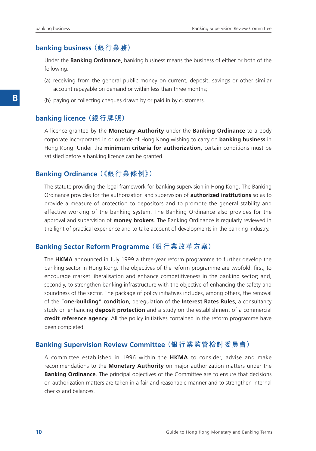#### **banking business (銀行業務)**

Under the **Banking Ordinance**, banking business means the business of either or both of the following:

- (a) receiving from the general public money on current, deposit, savings or other similar account repayable on demand or within less than three months;
- (b) paying or collecting cheques drawn by or paid in by customers.

#### **banking licence(銀行牌照)**

A licence granted by the **Monetary Authority** under the **Banking Ordinance** to a body corporate incorporated in or outside of Hong Kong wishing to carry on **banking business** in Hong Kong. Under the **minimum criteria for authorization**, certain conditions must be satisfied before a banking licence can be granted.

#### **Banking Ordinance (《銀行業條例》)**

The statute providing the legal framework for banking supervision in Hong Kong. The Banking Ordinance provides for the authorization and supervision of **authorized institutions** so as to provide a measure of protection to depositors and to promote the general stability and effective working of the banking system. The Banking Ordinance also provides for the approval and supervision of **money brokers**. The Banking Ordinance is regularly reviewed in the light of practical experience and to take account of developments in the banking industry.

#### **Banking Sector Reform Programme (銀行業改革方案)**

The **HKMA** announced in July 1999 a three-year reform programme to further develop the banking sector in Hong Kong. The objectives of the reform programme are twofold: first, to encourage market liberalisation and enhance competitiveness in the banking sector; and, secondly, to strengthen banking infrastructure with the objective of enhancing the safety and soundness of the sector. The package of policy initiatives includes, among others, the removal of the "**one-building**" **condition**, deregulation of the **Interest Rates Rules**, a consultancy study on enhancing **deposit protection** and a study on the establishment of a commercial **credit reference agency**. All the policy initiatives contained in the reform programme have been completed.

#### **Banking Supervision Review Committee (銀行業監管檢討委員會)**

A committee established in 1996 within the **HKMA** to consider, advise and make recommendations to the **Monetary Authority** on major authorization matters under the **Banking Ordinance**. The principal objectives of the Committee are to ensure that decisions on authorization matters are taken in a fair and reasonable manner and to strengthen internal checks and balances.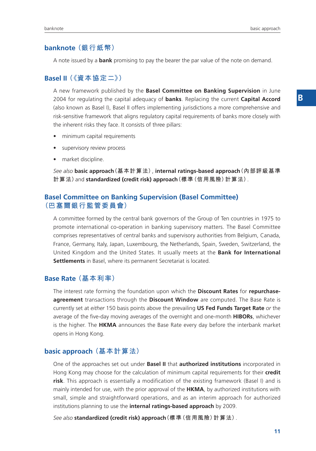#### **banknote (銀行紙幣)**

A note issued by a **bank** promising to pay the bearer the par value of the note on demand.

## **Basel II (《資本協定二》)**

A new framework published by the **Basel Committee on Banking Supervision** in June 2004 for regulating the capital adequacy of **banks**. Replacing the current **Capital Accord** (also known as Basel I), Basel II offers implementing jurisdictions a more comprehensive and risk-sensitive framework that aligns regulatory capital requirements of banks more closely with the inherent risks they face. It consists of three pillars:

- minimum capital requirements
- supervisory review process
- market discipline.

*See also* **basic approach(基本計算法)**, **internal ratings-based approach(內部評級基準 計算法)**and **standardized (credit risk) approach(標準(信用風險)計算法)**.

### **Basel Committee on Banking Supervision (Basel Committee) (巴塞爾銀行監管委員會)**

A committee formed by the central bank governors of the Group of Ten countries in 1975 to promote international co-operation in banking supervisory matters. The Basel Committee comprises representatives of central banks and supervisory authorities from Belgium, Canada, France, Germany, Italy, Japan, Luxembourg, the Netherlands, Spain, Sweden, Switzerland, the United Kingdom and the United States. It usually meets at the **Bank for International Settlements** in Basel, where its permanent Secretariat is located.

#### **Base Rate (基本利率)**

The interest rate forming the foundation upon which the **Discount Rates** for **repurchaseagreement** transactions through the **Discount Window** are computed. The Base Rate is currently set at *either* 150 basis points above the prevailing **US Fed Funds Target Rate** *or* the average of the five-day moving averages of the overnight and one-month **HIBORs**, whichever is the higher. The **HKMA** announces the Base Rate every day before the interbank market opens in Hong Kong.

#### **basic approach (基本計算法)**

One of the approaches set out under **Basel II** that **authorized institutions** incorporated in Hong Kong may choose for the calculation of minimum capital requirements for their **credit risk**. This approach is essentially a modification of the existing framework (Basel I) and is mainly intended for use, with the prior approval of the **HKMA**, by authorized institutions with small, simple and straightforward operations, and as an interim approach for authorized institutions planning to use the **internal ratings-based approach** by 2009.

*See also* **standardized (credit risk) approach(標準(信用風險)計算法)**.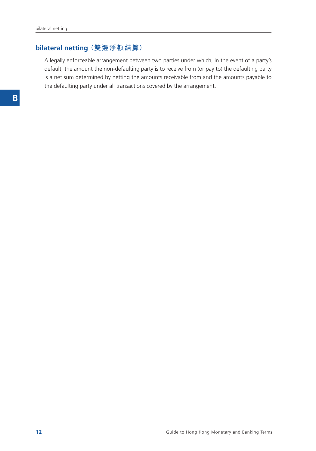## **bilateral netting (雙邊淨額結算)**

A legally enforceable arrangement between two parties under which, in the event of a party's default, the amount the non-defaulting party is to receive from (or pay to) the defaulting party is a net sum determined by netting the amounts receivable from and the amounts payable to the defaulting party under all transactions covered by the arrangement.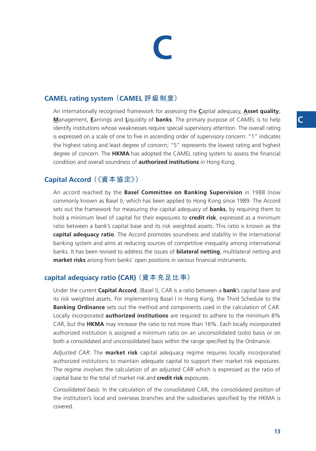# **C**

## **CAMEL rating system (CAMEL 評級制度)**

An internationally recognised framework for assessing the **C**apital adequacy, **Asset quality**, **M**anagement, **E**arnings and **L**iquidity of **banks**. The primary purpose of CAMEL is to help identify institutions whose weaknesses require special supervisory attention. The overall rating is expressed on a scale of one to five in ascending order of supervisory concern: "1" indicates the highest rating and least degree of concern; "5" represents the lowest rating and highest degree of concern. The **HKMA** has adopted the CAMEL rating system to assess the financial condition and overall soundness of **authorized institutions** in Hong Kong.

## **Capital Accord (《資本協定》)**

An accord reached by the **Basel Committee on Banking Supervision** in 1988 (now commonly known as Basel I), which has been applied to Hong Kong since 1989. The Accord sets out the framework for measuring the capital adequacy of **banks**, by requiring them to hold a minimum level of capital for their exposures to **credit risk**, expressed as a minimum ratio between a bank's capital base and its risk weighted assets. This ratio is known as the **capital adequacy ratio**. The Accord promotes soundness and stability in the international banking system and aims at reducing sources of competitive inequality among international banks. It has been revised to address the issues of **bilateral netting**, multilateral netting and **market risks** arising from banks' open positions in various financial instruments.

## **capital adequacy ratio (CAR) (資本充足比率)**

Under the current **Capital Accord**, (Basel I), CAR is a ratio between a **bank**'s capital base and its risk weighted assets. For implementing Basel I in Hong Kong, the Third Schedule to the **Banking Ordinance** sets out the method and components used in the calculation of CAR. Locally incorporated **authorized institutions** are required to adhere to the minimum 8% CAR, but the **HKMA** may increase the ratio to not more than 16%. Each locally incorporated authorized institution is assigned a minimum ratio on an unconsolidated (solo) basis or on both a consolidated and unconsolidated basis within the range specified by the Ordinance.

*Adjusted CAR*: The **market risk** capital adequacy regime requires locally incorporated authorized institutions to maintain adequate capital to support their market risk exposures. The regime involves the calculation of an adjusted CAR which is expressed as the ratio of capital base to the total of market risk and **credit risk** exposures.

*Consolidated basis*: In the calculation of the consolidated CAR, the consolidated position of the institution's local and overseas branches and the subsidiaries specified by the HKMA is covered.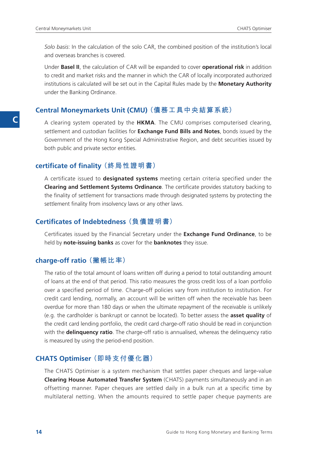*Solo basis*: In the calculation of the solo CAR, the combined position of the institution's local and overseas branches is covered.

Under **Basel II**, the calculation of CAR will be expanded to cover **operational risk** in addition to credit and market risks and the manner in which the CAR of locally incorporated authorized institutions is calculated will be set out in the Capital Rules made by the **Monetary Authority** under the Banking Ordinance.

#### **Central Moneymarkets Unit (CMU) (債務工具中央結算系統)**

A clearing system operated by the **HKMA**. The CMU comprises computerised clearing, settlement and custodian facilities for **Exchange Fund Bills and Notes**, bonds issued by the Government of the Hong Kong Special Administrative Region, and debt securities issued by both public and private sector entities.

#### **certificate of finality (終局性證明書)**

A certificate issued to **designated systems** meeting certain criteria specified under the **Clearing and Settlement Systems Ordinance**. The certificate provides statutory backing to the finality of settlement for transactions made through designated systems by protecting the settlement finality from insolvency laws or any other laws.

## **Certificates of Indebtedness (負債證明書)**

Certificates issued by the Financial Secretary under the **Exchange Fund Ordinance**, to be held by **note-issuing banks** as cover for the **banknotes** they issue.

#### **charge-off ratio (撇帳比率)**

The ratio of the total amount of loans written off during a period to total outstanding amount of loans at the end of that period. This ratio measures the gross credit loss of a loan portfolio over a specified period of time. Charge-off policies vary from institution to institution. For credit card lending, normally, an account will be written off when the receivable has been overdue for more than 180 days or when the ultimate repayment of the receivable is unlikely (e.g. the cardholder is bankrupt or cannot be located). To better assess the **asset quality** of the credit card lending portfolio, the credit card charge-off ratio should be read in conjunction with the **delinquency ratio**. The charge-off ratio is annualised, whereas the delinquency ratio is measured by using the period-end position.

#### **CHATS Optimiser (即時支付優化器)**

The CHATS Optimiser is a system mechanism that settles paper cheques and large-value **Clearing House Automated Transfer System** (CHATS) payments simultaneously and in an offsetting manner. Paper cheques are settled daily in a bulk run at a specific time by multilateral netting. When the amounts required to settle paper cheque payments are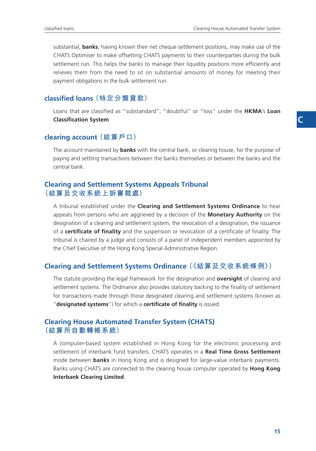substantial, **banks**, having known their net cheque settlement positions, may make use of the CHATS Optimiser to make offsetting CHATS payments to their counterparties during the bulk settlement run. This helps the banks to manage their liquidity positions more efficiently and relieves them from the need to sit on substantial amounts of money for meeting their payment obligations in the bulk settlement run.

### **classified loans (特定分類貸款)**

Loans that are classified as "substandard", "doubtful" or "loss" under the **HKMA**'s **Loan Classification System**.

#### **clearing account (結算戶口)**

The account maintained by **banks** with the central bank, or clearing house, for the purpose of paying and settling transactions between the banks themselves or between the banks and the central bank.

#### **Clearing and Settlement Systems Appeals Tribunal (結算及交收系統上訴審裁處)**

A tribunal established under the **Clearing and Settlement Systems Ordinance** to hear appeals from persons who are aggrieved by a decision of the **Monetary Authority** on the designation of a clearing and settlement system, the revocation of a designation, the issuance of a **certificate of finality** and the suspension or revocation of a certificate of finality. The tribunal is chaired by a judge and consists of a panel of independent members appointed by the Chief Executive of the Hong Kong Special Administrative Region.

#### **Clearing and Settlement Systems Ordinance (《結算及交收系統條例》)**

The statute providing the legal framework for the designation and **oversight** of clearing and settlement systems. The Ordinance also provides statutory backing to the finality of settlement for transactions made through those designated clearing and settlement systems (known as "**designated systems**") for which a **certificate of finality** is issued.

#### **Clearing House Automated Transfer System (CHATS) (結算所自動轉帳系統)**

A computer-based system established in Hong Kong for the electronic processing and settlement of interbank fund transfers. CHATS operates in a **Real Time Gross Settlement** mode between **banks** in Hong Kong and is designed for large-value interbank payments. Banks using CHATS are connected to the clearing house computer operated by **Hong Kong Interbank Clearing Limited**.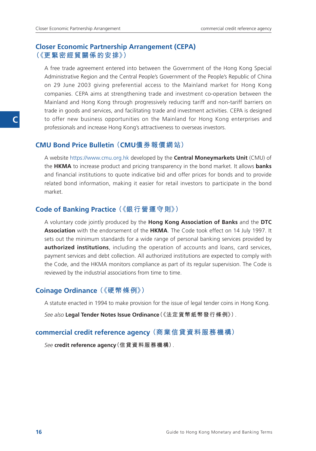#### **Closer Economic Partnership Arrangement (CEPA) (《更緊密經貿關係的安排》)**

A free trade agreement entered into between the Government of the Hong Kong Special Administrative Region and the Central People's Government of the People's Republic of China on 29 June 2003 giving preferential access to the Mainland market for Hong Kong companies. CEPA aims at strengthening trade and investment co-operation between the Mainland and Hong Kong through progressively reducing tariff and non-tariff barriers on trade in goods and services, and facilitating trade and investment activities. CEPA is designed to offer new business opportunities on the Mainland for Hong Kong enterprises and professionals and increase Hong Kong's attractiveness to overseas investors.

#### **CMU Bond Price Bulletin (CMU債券報價網站)**

A website https://www.cmu.org.hk developed by the **Central Moneymarkets Unit** (CMU) of the **HKMA** to increase product and pricing transparency in the bond market. It allows **banks** and financial institutions to quote indicative bid and offer prices for bonds and to provide related bond information, making it easier for retail investors to participate in the bond market.

#### **Code of Banking Practice (《銀行營運守則》)**

A voluntary code jointly produced by the **Hong Kong Association of Banks** and the **DTC Association** with the endorsement of the **HKMA**. The Code took effect on 14 July 1997. It sets out the minimum standards for a wide range of personal banking services provided by **authorized institutions**, including the operation of accounts and loans, card services, payment services and debt collection. All authorized institutions are expected to comply with the Code, and the HKMA monitors compliance as part of its regular supervision. The Code is reviewed by the industrial associations from time to time.

#### **Coinage Ordinance (《硬幣條例》)**

A statute enacted in 1994 to make provision for the issue of legal tender coins in Hong Kong.

*See also* **Legal Tender Notes Issue Ordinance(《法定貨幣紙幣發行條例》)**.

#### **commercial credit reference agency (商業信貸資料服務機構)**

*See* **credit reference agency(信貸資料服務機構)**.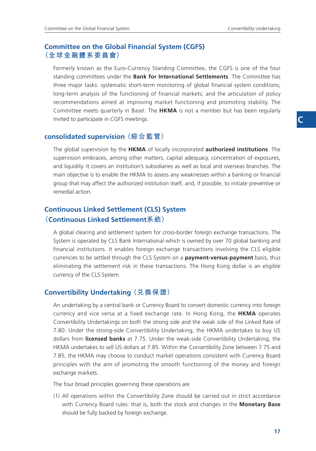#### **Committee on the Global Financial System (CGFS) (全球金融體系委員會)**

Formerly known as the Euro-Currency Standing Committee, the CGFS is one of the four standing committees under the **Bank for International Settlements**. The Committee has three major tasks: systematic short-term monitoring of global financial system conditions; long-term analysis of the functioning of financial markets; and the articulation of policy recommendations aimed at improving market functioning and promoting stability. The Committee meets quarterly in Basel. The **HKMA** is not a member but has been regularly invited to participate in CGFS meetings.

## **consolidated supervision (綜合監管)**

The global supervision by the **HKMA** of locally incorporated **authorized institutions**. The supervision embraces, among other matters, capital adequacy, concentration of exposures, and liquidity. It covers an institution's subsidiaries as well as local and overseas branches. The main objective is to enable the HKMA to assess any weaknesses within a banking or financial group that may affect the authorized institution itself, and, if possible, to initiate preventive or remedial action.

## **Continuous Linked Settlement (CLS) System (Continuous Linked Settlement系統)**

A global clearing and settlement system for cross-border foreign exchange transactions. The System is operated by CLS Bank International which is owned by over 70 global banking and financial institutions. It enables foreign exchange transactions involving the CLS eligible currencies to be settled through the CLS System on a **payment-versus-payment** basis, thus eliminating the settlement risk in these transactions. The Hong Kong dollar is an eligible currency of the CLS System.

#### **Convertibility Undertaking (兌換保證)**

An undertaking by a central bank or Currency Board to convert domestic currency into foreign currency and vice versa at a fixed exchange rate. In Hong Kong, the **HKMA** operates Convertibility Undertakings on both the strong side and the weak side of the Linked Rate of 7.80. Under the strong-side Convertibility Undertaking, the HKMA undertakes to buy US dollars from **licensed banks** at 7.75. Under the weak-side Convertibility Undertaking, the HKMA undertakes to sell US dollars at 7.85. Within the Convertibility Zone between 7.75 and 7.85, the HKMA may choose to conduct market operations consistent with Currency Board principles with the aim of promoting the smooth functioning of the money and foreign exchange markets.

The four broad principles governing these operations are

(1) All operations within the Convertibility Zone should be carried out in strict accordance with Currency Board rules: that is, both the stock and changes in the **Monetary Base** should be fully backed by foreign exchange.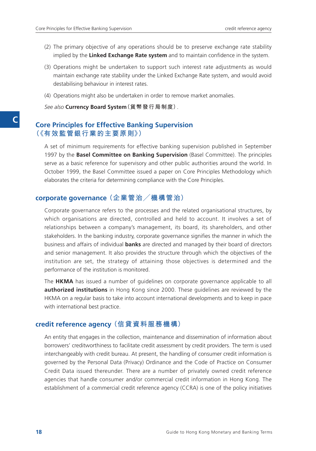- (2) The primary objective of any operations should be to preserve exchange rate stability implied by the **Linked Exchange Rate system** and to maintain confidence in the system.
- (3) Operations might be undertaken to support such interest rate adjustments as would maintain exchange rate stability under the Linked Exchange Rate system, and would avoid destabilising behaviour in interest rates.
- (4) Operations might also be undertaken in order to remove market anomalies.

*See also* **Currency Board System(貨幣發行局制度)**.

#### **Core Principles for Effective Banking Supervision (《有效監管銀行業的主要原則》)**

A set of minimum requirements for effective banking supervision published in September 1997 by the **Basel Committee on Banking Supervision** (Basel Committee). The principles serve as a basic reference for supervisory and other public authorities around the world. In October 1999, the Basel Committee issued a paper on Core Principles Methodology which elaborates the criteria for determining compliance with the Core Principles.

#### **corporate governance (企業管治/機構管治)**

Corporate governance refers to the processes and the related organisational structures, by which organisations are directed, controlled and held to account. It involves a set of relationships between a company's management, its board, its shareholders, and other stakeholders. In the banking industry, corporate governance signifies the manner in which the business and affairs of individual **banks** are directed and managed by their board of directors and senior management. It also provides the structure through which the objectives of the institution are set, the strategy of attaining those objectives is determined and the performance of the institution is monitored.

The **HKMA** has issued a number of guidelines on corporate governance applicable to all **authorized institutions** in Hong Kong since 2000. These guidelines are reviewed by the HKMA on a regular basis to take into account international developments and to keep in pace with international best practice.

#### **credit reference agency (信貸資料服務機構)**

An entity that engages in the collection, maintenance and dissemination of information about borrowers' creditworthiness to facilitate credit assessment by credit providers. The term is used interchangeably with credit bureau. At present, the handling of consumer credit information is governed by the Personal Data (Privacy) Ordinance and the Code of Practice on Consumer Credit Data issued thereunder. There are a number of privately owned credit reference agencies that handle consumer and/or commercial credit information in Hong Kong. The establishment of a commercial credit reference agency (CCRA) is one of the policy initiatives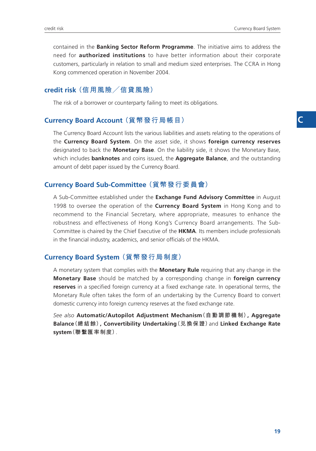contained in the **Banking Sector Reform Programme**. The initiative aims to address the need for **authorized institutions** to have better information about their corporate customers, particularly in relation to small and medium sized enterprises. The CCRA in Hong Kong commenced operation in November 2004.

## **credit risk (信用風險/信貸風險)**

The risk of a borrower or counterparty failing to meet its obligations.

#### **Currency Board Account (貨幣發行局帳目)**

The Currency Board Account lists the various liabilities and assets relating to the operations of the **Currency Board System**. On the asset side, it shows **foreign currency reserves** designated to back the **Monetary Base**. On the liability side, it shows the Monetary Base, which includes **banknotes** and coins issued, the **Aggregate Balance**, and the outstanding amount of debt paper issued by the Currency Board.

### **Currency Board Sub-Committee (貨幣發行委員會)**

A Sub-Committee established under the **Exchange Fund Advisory Committee** in August 1998 to oversee the operation of the **Currency Board System** in Hong Kong and to recommend to the Financial Secretary, where appropriate, measures to enhance the robustness and effectiveness of Hong Kong's Currency Board arrangements. The Sub-Committee is chaired by the Chief Executive of the **HKMA**. Its members include professionals in the financial industry, academics, and senior officials of the HKMA.

#### **Currency Board System (貨幣發行局制度)**

A monetary system that complies with the **Monetary Rule** requiring that any change in the **Monetary Base** should be matched by a corresponding change in **foreign currency reserves** in a specified foreign currency at a fixed exchange rate. In operational terms, the Monetary Rule often takes the form of an undertaking by the Currency Board to convert domestic currency into foreign currency reserves at the fixed exchange rate.

*See also* **Automatic/Autopilot Adjustment Mechanism(自動調節機制), Aggregate Balance(總結餘), Convertibility Undertaking(兌換保證)**and **Linked Exchange Rate system(聯繫匯率制度)**.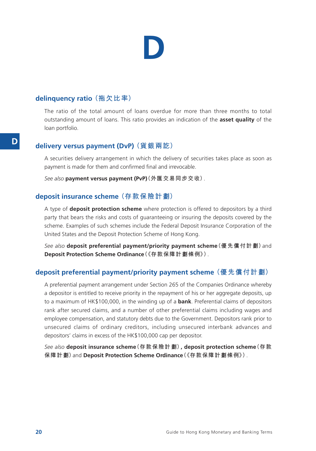## **D**

### **delinquency ratio (拖欠比率)**

The ratio of the total amount of loans overdue for more than three months to total outstanding amount of loans. This ratio provides an indication of the **asset quality** of the loan portfolio.

#### **delivery versus payment (DvP) (貨銀兩訖)**

A securities delivery arrangement in which the delivery of securities takes place as soon as payment is made for them and confirmed final and irrevocable.

*See also* **payment versus payment (PvP)(外匯交易同步交收)**.

#### **deposit insurance scheme (存款保險計劃)**

A type of **deposit protection scheme** where protection is offered to depositors by a third party that bears the risks and costs of guaranteeing or insuring the deposits covered by the scheme. Examples of such schemes include the Federal Deposit Insurance Corporation of the United States and the Deposit Protection Scheme of Hong Kong.

*See also* **deposit preferential payment/priority payment scheme(優先償付計劃)**and **Deposit Protection Scheme Ordinance(《存款保障計劃條例》)**.

### **deposit preferential payment/priority payment scheme (優先償付計劃)**

A preferential payment arrangement under Section 265 of the Companies Ordinance whereby a depositor is entitled to receive priority in the repayment of his or her aggregate deposits, up to a maximum of HK\$100,000, in the winding up of a **bank**. Preferential claims of depositors rank after secured claims, and a number of other preferential claims including wages and employee compensation, and statutory debts due to the Government. Depositors rank prior to unsecured claims of ordinary creditors, including unsecured interbank advances and depositors' claims in excess of the HK\$100,000 cap per depositor.

*See also* **deposit insurance scheme(存款保險計劃), deposit protection scheme(存款 保障計劃)**and **Deposit Protection Scheme Ordinance(《存款保障計劃條例》)**.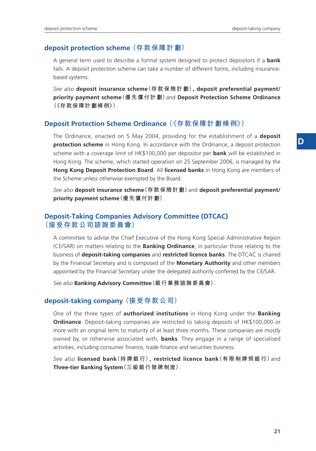### **deposit protection scheme (存款保障計劃)**

A general term used to describe a formal system designed to protect depositors if a **bank** fails. A deposit protection scheme can take a number of different forms, including insurancebased systems.

*See also* **deposit insurance scheme(存款保險計劃), deposit preferential payment/ priority payment scheme(優先償付計劃)**and **Deposit Protection Scheme Ordinance (《存款保障計劃條例》)**.

## **Deposit Protection Scheme Ordinance (《存款保障計劃條例》)**

The Ordinance, enacted on 5 May 2004, providing for the establishment of a **deposit protection scheme** in Hong Kong. In accordance with the Ordinance, a deposit protection scheme with a coverage limit of HK\$100,000 per depositor per **bank** will be established in Hong Kong. The scheme, which started operation on 25 September 2006, is managed by the **Hong Kong Deposit Protection Board**. All **licensed banks** in Hong Kong are members of the Scheme unless otherwise exempted by the Board.

*See also* **deposit insurance scheme(存款保險計劃)**and **deposit preferential payment/ priority payment scheme(優先償付計劃)**.

### **Deposit-Taking Companies Advisory Committee (DTCAC) (接受存款公司諮詢委員會)**

A committee to advise the Chief Executive of the Hong Kong Special Administrative Region (CE/SAR) on matters relating to the **Banking Ordinance**, in particular those relating to the business of **deposit-taking companies** and **restricted licence banks**. The DTCAC is chaired by the Financial Secretary and is composed of the **Monetary Authority** and other members appointed by the Financial Secretary under the delegated authority conferred by the CE/SAR.

*See also* **Banking Advisory Committee(銀行業務諮詢委員會)**.

#### **deposit-taking company (接受存款公司)**

One of the three types of **authorized institutions** in Hong Kong under the **Banking Ordinance**. Deposit-taking companies are restricted to taking deposits of HK\$100,000 or more with an original term to maturity of at least three months. These companies are mostly owned by, or otherwise associated with, **banks**. They engage in a range of specialised activities, including consumer finance, trade finance and securities business.

*See also* **licensed bank(持牌銀行), restricted licence bank(有限制牌照銀行)**and **Three-tier Banking System(三級銀行發牌制度)**.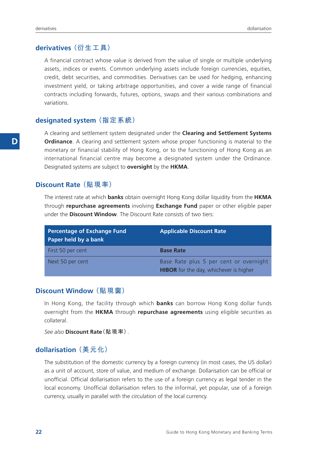#### **derivatives (衍生工具)**

A financial contract whose value is derived from the value of single or multiple underlying assets, indices or events. Common underlying assets include foreign currencies, equities, credit, debt securities, and commodities. Derivatives can be used for hedging, enhancing investment yield, or taking arbitrage opportunities, and cover a wide range of financial contracts including forwards, futures, options, swaps and their various combinations and variations.

#### **designated system (指定系統)**

A clearing and settlement system designated under the **Clearing and Settlement Systems Ordinance**. A clearing and settlement system whose proper functioning is material to the monetary or financial stability of Hong Kong, or to the functioning of Hong Kong as an international financial centre may become a designated system under the Ordinance. Designated systems are subject to **oversight** by the **HKMA**.

#### **Discount Rate (貼現率)**

The interest rate at which **banks** obtain overnight Hong Kong dollar liquidity from the **HKMA** through **repurchase agreements** involving **Exchange Fund** paper or other eligible paper under the **Discount Window**. The Discount Rate consists of two tiers:

| <b>Percentage of Exchange Fund</b><br>Paper held by a bank | <b>Applicable Discount Rate</b>                                                         |
|------------------------------------------------------------|-----------------------------------------------------------------------------------------|
| First 50 per cent                                          | <b>Base Rate</b>                                                                        |
| Next 50 per cent                                           | Base Rate plus 5 per cent or overnight<br><b>HIBOR</b> for the day, whichever is higher |

#### **Discount Window (貼現窗)**

In Hong Kong, the facility through which **banks** can borrow Hong Kong dollar funds overnight from the **HKMA** through **repurchase agreements** using eligible securities as collateral.

*See also* **Discount Rate(貼現率)**.

#### **dollarisation (美元化)**

The substitution of the domestic currency by a foreign currency (in most cases, the US dollar) as a unit of account, store of value, and medium of exchange. Dollarisation can be official or unofficial. Official dollarisation refers to the use of a foreign currency as legal tender in the local economy. Unofficial dollarisation refers to the informal, yet popular, use of a foreign currency, usually in parallel with the circulation of the local currency.

**D**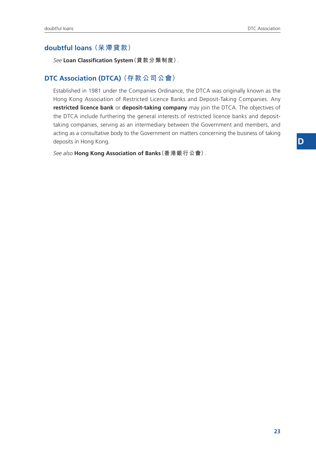## **doubtful loans (呆滯貸款)**

*See* **Loan Classification System(貸款分類制度)**.

#### **DTC Association (DTCA) (存款公司公會)**

Established in 1981 under the Companies Ordinance, the DTCA was originally known as the Hong Kong Association of Restricted Licence Banks and Deposit-Taking Companies. Any **restricted licence bank** or **deposit-taking company** may join the DTCA. The objectives of the DTCA include furthering the general interests of restricted licence banks and deposittaking companies, serving as an intermediary between the Government and members, and acting as a consultative body to the Government on matters concerning the business of taking deposits in Hong Kong.

*See also* **Hong Kong Association of Banks(香港銀行公會)**.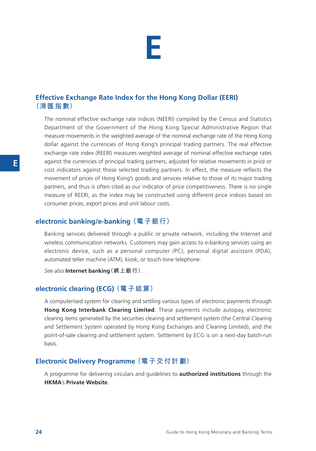

## **Effective Exchange Rate Index for the Hong Kong Dollar (EERI) (港匯指數)**

The nominal effective exchange rate indices (NEERI) compiled by the Census and Statistics Department of the Government of the Hong Kong Special Administrative Region that measure movements in the weighted average of the nominal exchange rate of the Hong Kong dollar against the currencies of Hong Kong's principal trading partners. The real effective exchange rate index (REERI) measures weighted average of nominal effective exchange rates against the currencies of principal trading partners, adjusted for relative movements in price or cost indicators against those selected trading partners. In effect, the measure reflects the movement of prices of Hong Kong's goods and services relative to those of its major trading partners, and thus is often cited as our indicator of price competitiveness. There is no single measure of REERI, as the index may be constructed using different price indices based on consumer prices, export prices and unit labour costs.

#### **electronic banking/e-banking (電子銀行)**

Banking services delivered through a public or private network, including the Internet and wireless communication networks. Customers may gain access to e-banking services using an electronic device, such as a personal computer (PC), personal digital assistant (PDA), automated teller machine (ATM), kiosk, or touch-tone telephone.

*See also* **Internet banking(網上銀行)**.

#### **electronic clearing (ECG) (電子結算)**

A computerised system for clearing and settling various types of electronic payments through **Hong Kong Interbank Clearing Limited**. These payments include autopay, electronic clearing items generated by the securities clearing and settlement system (the Central Clearing and Settlement System operated by Hong Kong Exchanges and Clearing Limited), and the point-of-sale clearing and settlement system. Settlement by ECG is on a next-day batch-run basis.

#### **Electronic Delivery Programme (電子交付計劃)**

A programme for delivering circulars and guidelines to **authorized institutions** through the **HKMA**'s **Private Website**.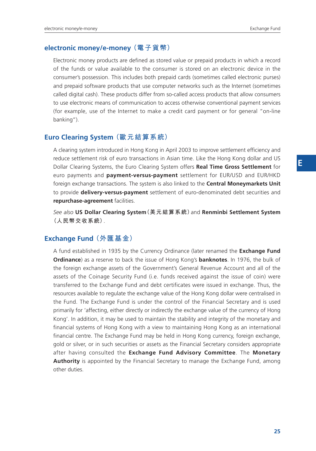#### **electronic money/e-money (電子貨幣)**

Electronic money products are defined as stored value or prepaid products in which a record of the funds or value available to the consumer is stored on an electronic device in the consumer's possession. This includes both prepaid cards (sometimes called electronic purses) and prepaid software products that use computer networks such as the Internet (sometimes called digital cash). These products differ from so-called access products that allow consumers to use electronic means of communication to access otherwise conventional payment services (for example, use of the Internet to make a credit card payment or for general "on-line banking").

#### **Euro Clearing System (歐元結算系統)**

A clearing system introduced in Hong Kong in April 2003 to improve settlement efficiency and reduce settlement risk of euro transactions in Asian time. Like the Hong Kong dollar and US Dollar Clearing Systems, the Euro Clearing System offers **Real Time Gross Settlement** for euro payments and **payment-versus-payment** settlement for EUR/USD and EUR/HKD foreign exchange transactions. The system is also linked to the **Central Moneymarkets Unit** to provide **delivery-versus-payment** settlement of euro-denominated debt securities and **repurchase-agreement** facilities.

*See also* **US Dollar Clearing System(美元結算系統)**and **Renminbi Settlement System (人民幣交收系統)**.

#### **Exchange Fund (外匯基金)**

A fund established in 1935 by the Currency Ordinance (later renamed the **Exchange Fund Ordinance**) as a reserve to back the issue of Hong Kong's **banknotes**. In 1976, the bulk of the foreign exchange assets of the Government's General Revenue Account and all of the assets of the Coinage Security Fund (i.e. funds received against the issue of coin) were transferred to the Exchange Fund and debt certificates were issued in exchange. Thus, the resources available to regulate the exchange value of the Hong Kong dollar were centralised in the Fund. The Exchange Fund is under the control of the Financial Secretary and is used primarily for 'affecting, either directly or indirectly the exchange value of the currency of Hong Kong'. In addition, it may be used to maintain the stability and integrity of the monetary and financial systems of Hong Kong with a view to maintaining Hong Kong as an international financial centre. The Exchange Fund may be held in Hong Kong currency, foreign exchange, gold or silver, or in such securities or assets as the Financial Secretary considers appropriate after having consulted the **Exchange Fund Advisory Committee**. The **Monetary Authority** is appointed by the Financial Secretary to manage the Exchange Fund, among other duties.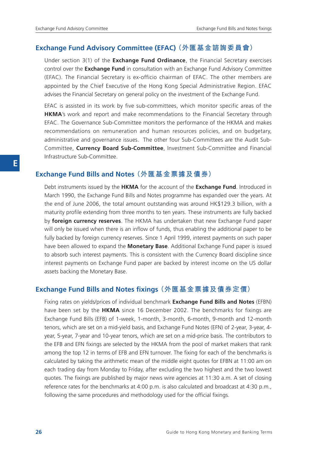#### **Exchange Fund Advisory Committee (EFAC) (外匯基金諮詢委員會)**

Under section 3(1) of the **Exchange Fund Ordinance**, the Financial Secretary exercises control over the **Exchange Fund** in consultation with an Exchange Fund Advisory Committee (EFAC). The Financial Secretary is ex-officio chairman of EFAC. The other members are appointed by the Chief Executive of the Hong Kong Special Administrative Region. EFAC advises the Financial Secretary on general policy on the investment of the Exchange Fund.

EFAC is assisted in its work by five sub-committees, which monitor specific areas of the **HKMA**'s work and report and make recommendations to the Financial Secretary through EFAC. The Governance Sub-Committee monitors the performance of the HKMA and makes recommendations on remuneration and human resources policies, and on budgetary, administrative and governance issues. The other four Sub-Committees are the Audit Sub-Committee, **Currency Board Sub-Committee**, Investment Sub-Committee and Financial Infrastructure Sub-Committee.

#### **Exchange Fund Bills and Notes (外匯基金票據及債券)**

Debt instruments issued by the **HKMA** for the account of the **Exchange Fund**. Introduced in March 1990, the Exchange Fund Bills and Notes programme has expanded over the years. At the end of June 2006, the total amount outstanding was around HK\$129.3 billion, with a maturity profile extending from three months to ten years. These instruments are fully backed by **foreign currency reserves**. The HKMA has undertaken that new Exchange Fund paper will only be issued when there is an inflow of funds, thus enabling the additional paper to be fully backed by foreign currency reserves. Since 1 April 1999, interest payments on such paper have been allowed to expand the **Monetary Base**. Additional Exchange Fund paper is issued to absorb such interest payments. This is consistent with the Currency Board discipline since interest payments on Exchange Fund paper are backed by interest income on the US dollar assets backing the Monetary Base.

#### **Exchange Fund Bills and Notes fixings (外匯基金票據及債券定價)**

Fixing rates on yields/prices of individual benchmark **Exchange Fund Bills and Notes** (EFBN) have been set by the **HKMA** since 16 December 2002. The benchmarks for fixings are Exchange Fund Bills (EFB) of 1-week, 1-month, 3-month, 6-month, 9-month and 12-month tenors, which are set on a mid-yield basis, and Exchange Fund Notes (EFN) of 2-year, 3-year, 4 year, 5-year, 7-year and 10-year tenors, which are set on a mid-price basis. The contributors to the EFB and EFN fixings are selected by the HKMA from the pool of market makers that rank among the top 12 in terms of EFB and EFN turnover. The fixing for each of the benchmarks is calculated by taking the arithmetic mean of the middle eight quotes for EFBN at 11:00 am on each trading day from Monday to Friday, after excluding the two highest and the two lowest quotes. The fixings are published by major news wire agencies at 11:30 a.m. A set of closing reference rates for the benchmarks at 4:00 p.m. is also calculated and broadcast at 4:30 p.m., following the same procedures and methodology used for the official fixings.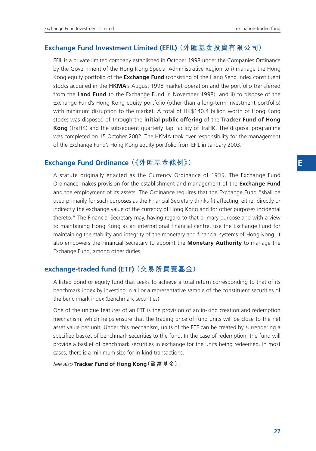#### **Exchange Fund Investment Limited (EFIL) (外匯基金投資有限公司)**

EFIL is a private limited company established in October 1998 under the Companies Ordinance by the Government of the Hong Kong Special Administrative Region to i) manage the Hong Kong equity portfolio of the **Exchange Fund** (consisting of the Hang Seng Index constituent stocks acquired in the **HKMA**'s August 1998 market operation and the portfolio transferred from the **Land Fund** to the Exchange Fund in November 1998), and ii) to dispose of the Exchange Fund's Hong Kong equity portfolio (other than a long-term investment portfolio) with minimum disruption to the market. A total of HK\$140.4 billion worth of Hong Kong stocks was disposed of through the **initial public offering** of the **Tracker Fund of Hong Kong** (TraHK) and the subsequent quarterly Tap Facility of TraHK. The disposal programme was completed on 15 October 2002. The HKMA took over responsibility for the management of the Exchange Fund's Hong Kong equity portfolio from EFIL in January 2003.

#### **Exchange Fund Ordinance (《外匯基金條例》)**

A statute originally enacted as the Currency Ordinance of 1935. The Exchange Fund Ordinance makes provision for the establishment and management of the **Exchange Fund** and the employment of its assets. The Ordinance requires that the Exchange Fund "shall be used primarily for such purposes as the Financial Secretary thinks fit affecting, either directly or indirectly the exchange value of the currency of Hong Kong and for other purposes incidental thereto." The Financial Secretary may, having regard to that primary purpose and with a view to maintaining Hong Kong as an international financial centre, use the Exchange Fund for maintaining the stability and integrity of the monetary and financial systems of Hong Kong. It also empowers the Financial Secretary to appoint the **Monetary Authority** to manage the Exchange Fund, among other duties.

## **exchange-traded fund (ETF) (交易所買賣基金)**

A listed bond or equity fund that seeks to achieve a total return corresponding to that of its benchmark index by investing in all or a representative sample of the constituent securities of the benchmark index (benchmark securities).

One of the unique features of an ETF is the provision of an in-kind creation and redemption mechanism, which helps ensure that the trading price of fund units will be close to the net asset value per unit. Under this mechanism, units of the ETF can be created by surrendering a specified basket of benchmark securities to the fund. In the case of redemption, the fund will provide a basket of benchmark securities in exchange for the units being redeemed. In most cases, there is a minimum size for in-kind transactions.

*See also* **Tracker Fund of Hong Kong(盈富基金)**.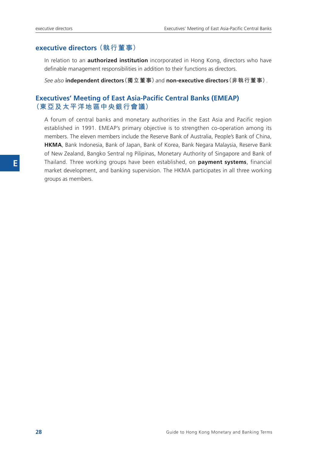#### **executive directors (執行董事)**

In relation to an **authorized institution** incorporated in Hong Kong, directors who have definable management responsibilities in addition to their functions as directors.

*See also* **independent directors(獨立董事)**and **non-executive directors(非執行董事)**.

## **Executives' Meeting of East Asia-Pacific Central Banks (EMEAP) (東亞及太平洋地區中央銀行會議)**

A forum of central banks and monetary authorities in the East Asia and Pacific region established in 1991. EMEAP's primary objective is to strengthen co-operation among its members. The eleven members include the Reserve Bank of Australia, People's Bank of China, **HKMA**, Bank Indonesia, Bank of Japan, Bank of Korea, Bank Negara Malaysia, Reserve Bank of New Zealand, Bangko Sentral ng Pilipinas, Monetary Authority of Singapore and Bank of Thailand. Three working groups have been established, on **payment systems**, financial market development, and banking supervision. The HKMA participates in all three working groups as members.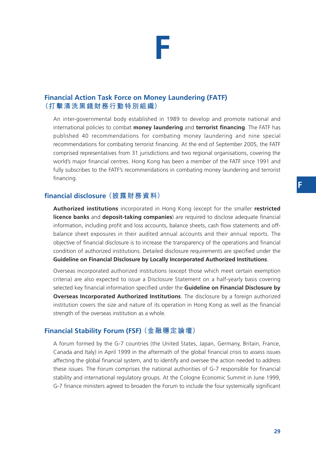## **Financial Action Task Force on Money Laundering (FATF) (打擊清洗黑錢財務行動特別組織)**

An inter-governmental body established in 1989 to develop and promote national and international policies to combat **money laundering** and **terrorist financing**. The FATF has published 40 recommendations for combating money laundering and nine special recommendations for combating terrorist financing. At the end of September 2005, the FATF comprised representatives from 31 jurisdictions and two regional organisations, covering the world's major financial centres. Hong Kong has been a member of the FATF since 1991 and fully subscribes to the FATF's recommendations in combating money laundering and terrorist financing.

## **financial disclosure (披露財務資料)**

**Authorized institutions** incorporated in Hong Kong (except for the smaller **restricted licence banks** and **deposit-taking companies**) are required to disclose adequate financial information, including profit and loss accounts, balance sheets, cash flow statements and offbalance sheet exposures in their audited annual accounts and their annual reports. The objective of financial disclosure is to increase the transparency of the operations and financial condition of authorized institutions. Detailed disclosure requirements are specified under the **Guideline on Financial Disclosure by Locally Incorporated Authorized Institutions**.

Overseas incorporated authorized institutions (except those which meet certain exemption criteria) are also expected to issue a Disclosure Statement on a half-yearly basis covering selected key financial information specified under the **Guideline on Financial Disclosure by Overseas Incorporated Authorized Institutions**. The disclosure by a foreign authorized institution covers the size and nature of its operation in Hong Kong as well as the financial strength of the overseas institution as a whole.

## **Financial Stability Forum (FSF) (金融穩定論壇)**

A forum formed by the G-7 countries (the United States, Japan, Germany, Britain, France, Canada and Italy) in April 1999 in the aftermath of the global financial crisis to assess issues affecting the global financial system, and to identify and oversee the action needed to address these issues. The Forum comprises the national authorities of G-7 responsible for financial stability and international regulatory groups. At the Cologne Economic Summit in June 1999, G-7 finance ministers agreed to broaden the Forum to include the four systemically significant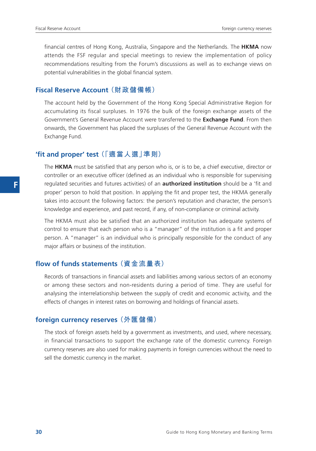financial centres of Hong Kong, Australia, Singapore and the Netherlands. The **HKMA** now attends the FSF regular and special meetings to review the implementation of policy recommendations resulting from the Forum's discussions as well as to exchange views on potential vulnerabilities in the global financial system.

#### **Fiscal Reserve Account (財政儲備帳)**

The account held by the Government of the Hong Kong Special Administrative Region for accumulating its fiscal surpluses. In 1976 the bulk of the foreign exchange assets of the Government's General Revenue Account were transferred to the **Exchange Fund**. From then onwards, the Government has placed the surpluses of the General Revenue Account with the Exchange Fund.

#### **'fit and proper' test (「適當人選」準則)**

The **HKMA** must be satisfied that any person who is, or is to be, a chief executive, director or controller or an executive officer (defined as an individual who is responsible for supervising regulated securities and futures activities) of an **authorized institution** should be a 'fit and proper' person to hold that position. In applying the fit and proper test, the HKMA generally takes into account the following factors: the person's reputation and character, the person's knowledge and experience, and past record, if any, of non-compliance or criminal activity.

The HKMA must also be satisfied that an authorized institution has adequate systems of control to ensure that each person who is a "manager" of the institution is a fit and proper person. A "manager" is an individual who is principally responsible for the conduct of any major affairs or business of the institution.

#### **flow of funds statements (資金流量表)**

Records of transactions in financial assets and liabilities among various sectors of an economy or among these sectors and non-residents during a period of time. They are useful for analysing the interrelationship between the supply of credit and economic activity, and the effects of changes in interest rates on borrowing and holdings of financial assets.

#### **foreign currency reserves (外匯儲備)**

The stock of foreign assets held by a government as investments, and used, where necessary, in financial transactions to support the exchange rate of the domestic currency. Foreign currency reserves are also used for making payments in foreign currencies without the need to sell the domestic currency in the market.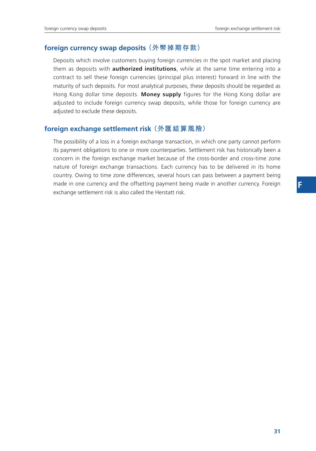#### **foreign currency swap deposits (外幣掉期存款)**

Deposits which involve customers buying foreign currencies in the spot market and placing them as deposits with **authorized institutions**, while at the same time entering into a contract to sell these foreign currencies (principal plus interest) forward in line with the maturity of such deposits. For most analytical purposes, these deposits should be regarded as Hong Kong dollar time deposits. **Money supply** figures for the Hong Kong dollar are adjusted to include foreign currency swap deposits, while those for foreign currency are adjusted to exclude these deposits.

#### **foreign exchange settlement risk (外匯結算風險)**

The possibility of a loss in a foreign exchange transaction, in which one party cannot perform its payment obligations to one or more counterparties. Settlement risk has historically been a concern in the foreign exchange market because of the cross-border and cross-time zone nature of foreign exchange transactions. Each currency has to be delivered in its home country. Owing to time zone differences, several hours can pass between a payment being made in one currency and the offsetting payment being made in another currency. Foreign exchange settlement risk is also called the Herstatt risk.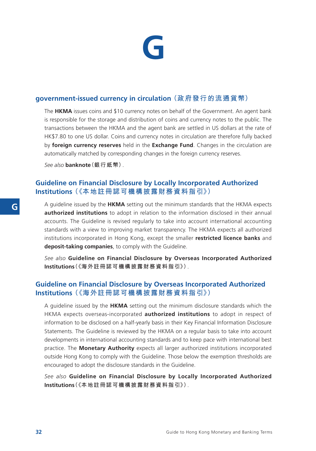

#### **government-issued currency in circulation (政府發行的流通貨幣)**

The **HKMA** issues coins and \$10 currency notes on behalf of the Government. An agent bank is responsible for the storage and distribution of coins and currency notes to the public. The transactions between the HKMA and the agent bank are settled in US dollars at the rate of HK\$7.80 to one US dollar. Coins and currency notes in circulation are therefore fully backed by **foreign currency reserves** held in the **Exchange Fund**. Changes in the circulation are automatically matched by corresponding changes in the foreign currency reserves.

*See also* **banknote(銀行紙幣)**.

## **Guideline on Financial Disclosure by Locally Incorporated Authorized Institutions (《本地註冊認可機構披露財務資料指引》)**

A guideline issued by the **HKMA** setting out the minimum standards that the HKMA expects **authorized institutions** to adopt in relation to the information disclosed in their annual accounts. The Guideline is revised regularly to take into account international accounting standards with a view to improving market transparency. The HKMA expects all authorized institutions incorporated in Hong Kong, except the smaller **restricted licence banks** and **deposit-taking companies**, to comply with the Guideline.

*See also* **Guideline on Financial Disclosure by Overseas Incorporated Authorized Institutions(《海外註冊認可機構披露財務資料指引》)**.

## **Guideline on Financial Disclosure by Overseas Incorporated Authorized Institutions (《海外註冊認可機構披露財務資料指引》)**

A guideline issued by the **HKMA** setting out the minimum disclosure standards which the HKMA expects overseas-incorporated **authorized institutions** to adopt in respect of information to be disclosed on a half-yearly basis in their Key Financial Information Disclosure Statements. The Guideline is reviewed by the HKMA on a regular basis to take into account developments in international accounting standards and to keep pace with international best practice. The **Monetary Authority** expects all larger authorized institutions incorporated outside Hong Kong to comply with the Guideline. Those below the exemption thresholds are encouraged to adopt the disclosure standards in the Guideline.

*See also* **Guideline on Financial Disclosure by Locally Incorporated Authorized Institutions(《本地註冊認可機構披露財務資料指引》)**.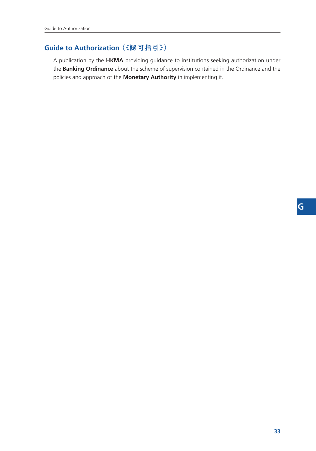## **Guide to Authorization (《認可指引》)**

A publication by the **HKMA** providing guidance to institutions seeking authorization under the **Banking Ordinance** about the scheme of supervision contained in the Ordinance and the policies and approach of the **Monetary Authority** in implementing it.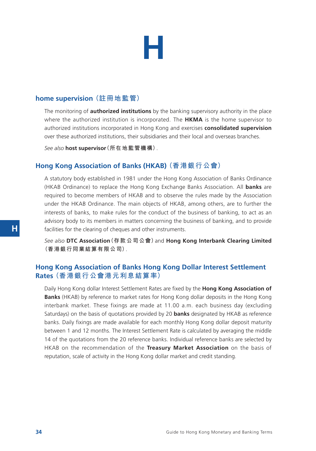

#### **home supervision (註冊地監管)**

The monitoring of **authorized institutions** by the banking supervisory authority in the place where the authorized institution is incorporated. The **HKMA** is the home supervisor to authorized institutions incorporated in Hong Kong and exercises **consolidated supervision** over these authorized institutions, their subsidiaries and their local and overseas branches.

*See also* **host supervisor(所在地監管機構)**.

#### **Hong Kong Association of Banks (HKAB) (香港銀行公會)**

A statutory body established in 1981 under the Hong Kong Association of Banks Ordinance (HKAB Ordinance) to replace the Hong Kong Exchange Banks Association. All **banks** are required to become members of HKAB and to observe the rules made by the Association under the HKAB Ordinance. The main objects of HKAB, among others, are to further the interests of banks, to make rules for the conduct of the business of banking, to act as an advisory body to its members in matters concerning the business of banking, and to provide facilities for the clearing of cheques and other instruments.

*See also* **DTC Association(存款公司公會)**and **Hong Kong Interbank Clearing Limited (香港銀行同業結算有限公司)**.

#### **Hong Kong Association of Banks Hong Kong Dollar Interest Settlement Rates (香港銀行公會港元利息結算率)**

Daily Hong Kong dollar Interest Settlement Rates are fixed by the **Hong Kong Association of Banks** (HKAB) by reference to market rates for Hong Kong dollar deposits in the Hong Kong interbank market. These fixings are made at 11.00 a.m. each business day (excluding Saturdays) on the basis of quotations provided by 20 **banks** designated by HKAB as reference banks. Daily fixings are made available for each monthly Hong Kong dollar deposit maturity between 1 and 12 months. The Interest Settlement Rate is calculated by averaging the middle 14 of the quotations from the 20 reference banks. Individual reference banks are selected by HKAB on the recommendation of the **Treasury Market Association** on the basis of reputation, scale of activity in the Hong Kong dollar market and credit standing.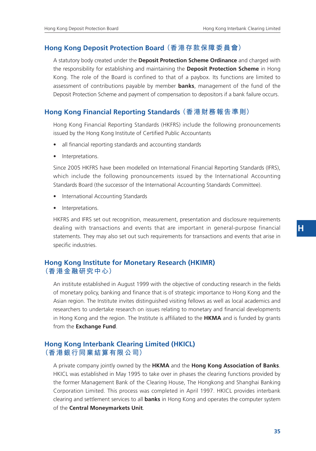#### **Hong Kong Deposit Protection Board (香港存款保障委員會)**

A statutory body created under the **Deposit Protection Scheme Ordinance** and charged with the responsibility for establishing and maintaining the **Deposit Protection Scheme** in Hong Kong. The role of the Board is confined to that of a paybox. Its functions are limited to assessment of contributions payable by member **banks**, management of the fund of the Deposit Protection Scheme and payment of compensation to depositors if a bank failure occurs.

#### **Hong Kong Financial Reporting Standards (香港財務報告準則)**

Hong Kong Financial Reporting Standards (HKFRS) include the following pronouncements issued by the Hong Kong Institute of Certified Public Accountants

- all financial reporting standards and accounting standards
- Interpretations.

Since 2005 HKFRS have been modelled on International Financial Reporting Standards (IFRS), which include the following pronouncements issued by the International Accounting Standards Board (the successor of the International Accounting Standards Committee).

- International Accounting Standards
- Interpretations.

HKFRS and IFRS set out recognition, measurement, presentation and disclosure requirements dealing with transactions and events that are important in general-purpose financial statements. They may also set out such requirements for transactions and events that arise in specific industries.

## **Hong Kong Institute for Monetary Research (HKIMR) (香港金融研究中心)**

An institute established in August 1999 with the objective of conducting research in the fields of monetary policy, banking and finance that is of strategic importance to Hong Kong and the Asian region. The Institute invites distinguished visiting fellows as well as local academics and researchers to undertake research on issues relating to monetary and financial developments in Hong Kong and the region. The Institute is affiliated to the **HKMA** and is funded by grants from the **Exchange Fund**.

## **Hong Kong Interbank Clearing Limited (HKICL) (香港銀行同業結算有限公司)**

A private company jointly owned by the **HKMA** and the **Hong Kong Association of Banks**. HKICL was established in May 1995 to take over in phases the clearing functions provided by the former Management Bank of the Clearing House, The Hongkong and Shanghai Banking Corporation Limited. This process was completed in April 1997. HKICL provides interbank clearing and settlement services to all **banks** in Hong Kong and operates the computer system of the **Central Moneymarkets Unit**.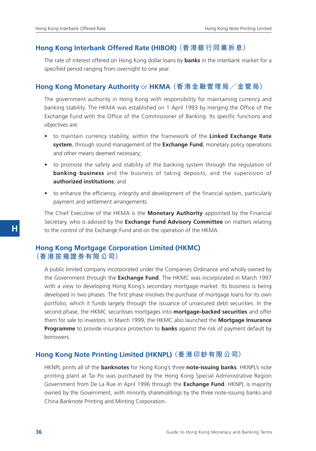#### **Hong Kong Interbank Offered Rate (HIBOR) (香港銀行同業拆息)**

The rate of interest offered on Hong Kong dollar loans by **banks** in the interbank market for a specified period ranging from overnight to one year.

## **Hong Kong Monetary Authority** or **HKMA (香港金融管理局/金管局)**

The government authority in Hong Kong with responsibility for maintaining currency and banking stability. The HKMA was established on 1 April 1993 by merging the Office of the Exchange Fund with the Office of the Commissioner of Banking. Its specific functions and objectives are:

- to maintain currency stability, within the framework of the **Linked Exchange Rate system**, through sound management of the **Exchange Fund**, monetary policy operations and other means deemed necessary;
- to promote the safety and stability of the banking system through the regulation of **banking business** and the business of taking deposits, and the supervision of **authorized institutions**; and
- to enhance the efficiency, integrity and development of the financial system, particularly payment and settlement arrangements.

The Chief Executive of the HKMA is the **Monetary Authority** appointed by the Financial Secretary, who is advised by the **Exchange Fund Advisory Committee** on matters relating to the control of the Exchange Fund and on the operation of the HKMA.

#### **Hong Kong Mortgage Corporation Limited (HKMC) (香港按揭證券有限公司)**

A public limited company incorporated under the Companies Ordinance and wholly owned by the Government through the **Exchange Fund**. The HKMC was incorporated in March 1997 with a view to developing Hong Kong's secondary mortgage market. Its business is being developed in two phases. The first phase involves the purchase of mortgage loans for its own portfolio, which it funds largely through the issuance of unsecured debt securities. In the second phase, the HKMC securitises mortgages into **mortgage-backed securities** and offer them for sale to investors. In March 1999, the HKMC also launched the **Mortgage Insurance Programme** to provide insurance protection to **banks** against the risk of payment default by borrowers.

#### **Hong Kong Note Printing Limited (HKNPL) (香港印鈔有限公司)**

HKNPL prints all of the **banknotes** for Hong Kong's three **note-issuing banks**. HKNPL's note printing plant at Tai Po was purchased by the Hong Kong Special Administrative Region Government from De La Rue in April 1996 through the **Exchange Fund**. HKNPL is majority owned by the Government, with minority shareholdings by the three note-issuing banks and China Banknote Printing and Minting Corporation.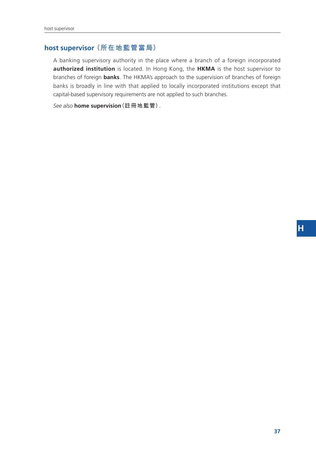## **host supervisor (所在地監管當局)**

A banking supervisory authority in the place where a branch of a foreign incorporated **authorized institution** is located. In Hong Kong, the **HKMA** is the host supervisor to branches of foreign **banks**. The HKMA's approach to the supervision of branches of foreign banks is broadly in line with that applied to locally incorporated institutions except that capital-based supervisory requirements are not applied to such branches.

*See also* **home supervision(註冊地監管)**.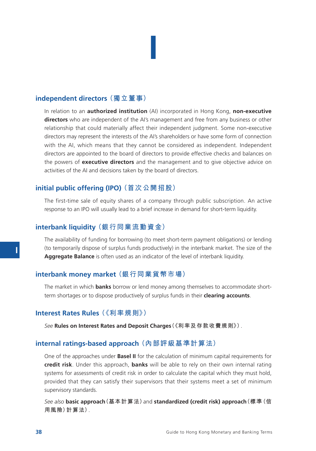## **independent directors (獨立董事)**

In relation to an **authorized institution** (AI) incorporated in Hong Kong, **non-executive directors** who are independent of the AI's management and free from any business or other relationship that could materially affect their independent judgment. Some non-executive directors may represent the interests of the AI's shareholders or have some form of connection with the AI, which means that they cannot be considered as independent. Independent directors are appointed to the board of directors to provide effective checks and balances on the powers of **executive directors** and the management and to give objective advice on activities of the AI and decisions taken by the board of directors.

**I**

#### **initial public offering (IPO) (首次公開招股)**

The first-time sale of equity shares of a company through public subscription. An active response to an IPO will usually lead to a brief increase in demand for short-term liquidity.

#### **interbank liquidity (銀行同業流動資金)**

The availability of funding for borrowing (to meet short-term payment obligations) or lending (to temporarily dispose of surplus funds productively) in the interbank market. The size of the **Aggregate Balance** is often used as an indicator of the level of interbank liquidity.

#### **interbank money market (銀行同業貨幣市場)**

The market in which **banks** borrow or lend money among themselves to accommodate shortterm shortages or to dispose productively of surplus funds in their **clearing accounts**.

#### **Interest Rates Rules (《利率規則》)**

*See* **Rules on Interest Rates and Deposit Charges(《利率及存款收費規則》)**.

#### **internal ratings-based approach (內部評級基準計算法)**

One of the approaches under **Basel II** for the calculation of minimum capital requirements for **credit risk**. Under this approach, **banks** will be able to rely on their own internal rating systems for assessments of credit risk in order to calculate the capital which they must hold, provided that they can satisfy their supervisors that their systems meet a set of minimum supervisory standards.

*See also* **basic approach(基本計算法)**and **standardized (credit risk) approach(標準(信 用風險)計算法)**.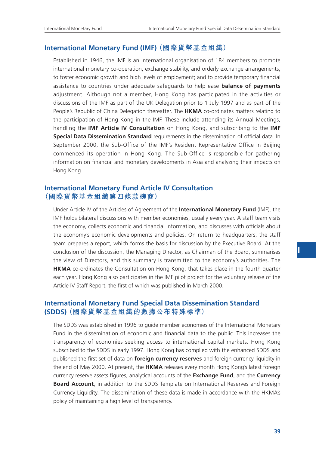#### **International Monetary Fund (IMF) (國際貨幣基金組織)**

Established in 1946, the IMF is an international organisation of 184 members to promote international monetary co-operation, exchange stability, and orderly exchange arrangements; to foster economic growth and high levels of employment; and to provide temporary financial assistance to countries under adequate safeguards to help ease **balance of payments** adjustment. Although not a member, Hong Kong has participated in the activities or discussions of the IMF as part of the UK Delegation prior to 1 July 1997 and as part of the People's Republic of China Delegation thereafter. The **HKMA** co-ordinates matters relating to the participation of Hong Kong in the IMF. These include attending its Annual Meetings, handling the **IMF Article IV Consultation** on Hong Kong, and subscribing to the **IMF Special Data Dissemination Standard** requirements in the dissemination of official data. In September 2000, the Sub-Office of the IMF's Resident Representative Office in Beijing commenced its operation in Hong Kong. The Sub-Office is responsible for gathering information on financial and monetary developments in Asia and analyzing their impacts on Hong Kong.

#### **International Monetary Fund Article IV Consultation (國際貨幣基金組織第四條款磋商)**

Under Article IV of the Articles of Agreement of the **International Monetary Fund** (IMF), the IMF holds bilateral discussions with member economies, usually every year. A staff team visits the economy, collects economic and financial information, and discusses with officials about the economy's economic developments and policies. On return to headquarters, the staff team prepares a report, which forms the basis for discussion by the Executive Board. At the conclusion of the discussion, the Managing Director, as Chairman of the Board, summarises the view of Directors, and this summary is transmitted to the economy's authorities. The **HKMA** co-ordinates the Consultation on Hong Kong, that takes place in the fourth quarter each year. Hong Kong also participates in the IMF pilot project for the voluntary release of the Article IV Staff Report, the first of which was published in March 2000.

#### **International Monetary Fund Special Data Dissemination Standard (SDDS) (國際貨幣基金組織的數據公布特殊標準)**

The SDDS was established in 1996 to guide member economies of the International Monetary Fund in the dissemination of economic and financial data to the public. This increases the transparency of economies seeking access to international capital markets. Hong Kong subscribed to the SDDS in early 1997. Hong Kong has complied with the enhanced SDDS and published the first set of data on **foreign currency reserves** and foreign currency liquidity in the end of May 2000. At present, the **HKMA** releases every month Hong Kong's latest foreign currency reserve assets figures, analytical accounts of the **Exchange Fund**, and the **Currency Board Account**, in addition to the SDDS Template on International Reserves and Foreign Currency Liquidity. The dissemination of these data is made in accordance with the HKMA's policy of maintaining a high level of transparency.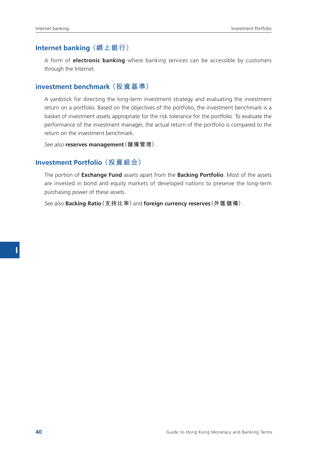## **Internet banking (網上銀行)**

A form of **electronic banking** where banking services can be accessible by customers through the Internet.

#### **investment benchmark (投資基準)**

A yardstick for directing the long-term investment strategy and evaluating the investment return on a portfolio. Based on the objectives of the portfolio, the investment benchmark is a basket of investment assets appropriate for the risk tolerance for the portfolio. To evaluate the performance of the investment manager, the actual return of the portfolio is compared to the return on the investment benchmark.

*See also* **reserves management(儲備管理)**.

#### **Investment Portfolio (投資組合)**

The portion of **Exchange Fund** assets apart from the **Backing Portfolio**. Most of the assets are invested in bond and equity markets of developed nations to preserve the long-term purchasing power of these assets.

*See also* **Backing Ratio(支持比率)**and **foreign currency reserves(外匯儲備)**.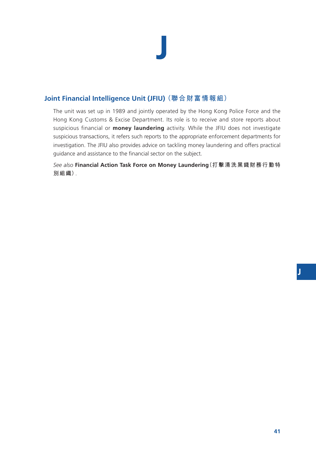# **J**

## **Joint Financial Intelligence Unit (JFIU) (聯合財富情報組)**

The unit was set up in 1989 and jointly operated by the Hong Kong Police Force and the Hong Kong Customs & Excise Department. Its role is to receive and store reports about suspicious financial or **money laundering** activity. While the JFIU does not investigate suspicious transactions, it refers such reports to the appropriate enforcement departments for investigation. The JFIU also provides advice on tackling money laundering and offers practical guidance and assistance to the financial sector on the subject.

*See also* **Financial Action Task Force on Money Laundering(打擊清洗黑錢財務行動特 別組織)**.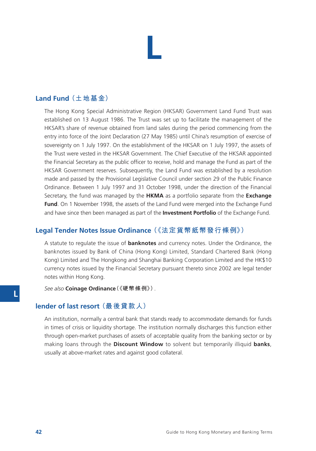## **L**

## **Land Fund (土地基金)**

The Hong Kong Special Administrative Region (HKSAR) Government Land Fund Trust was established on 13 August 1986. The Trust was set up to facilitate the management of the HKSAR's share of revenue obtained from land sales during the period commencing from the entry into force of the Joint Declaration (27 May 1985) until China's resumption of exercise of sovereignty on 1 July 1997. On the establishment of the HKSAR on 1 July 1997, the assets of the Trust were vested in the HKSAR Government. The Chief Executive of the HKSAR appointed the Financial Secretary as the public officer to receive, hold and manage the Fund as part of the HKSAR Government reserves. Subsequently, the Land Fund was established by a resolution made and passed by the Provisional Legislative Council under section 29 of the Public Finance Ordinance. Between 1 July 1997 and 31 October 1998, under the direction of the Financial Secretary, the fund was managed by the **HKMA** as a portfolio separate from the **Exchange Fund**. On 1 November 1998, the assets of the Land Fund were merged into the Exchange Fund and have since then been managed as part of the **Investment Portfolio** of the Exchange Fund.

## **Legal Tender Notes Issue Ordinance (《法定貨幣紙幣發行條例》)**

A statute to regulate the issue of **banknotes** and currency notes. Under the Ordinance, the banknotes issued by Bank of China (Hong Kong) Limited, Standard Chartered Bank (Hong Kong) Limited and The Hongkong and Shanghai Banking Corporation Limited and the HK\$10 currency notes issued by the Financial Secretary pursuant thereto since 2002 are legal tender notes within Hong Kong.

*See also* **Coinage Ordinance(《硬幣條例》)**.

## **lender of last resort (最後貸款人)**

An institution, normally a central bank that stands ready to accommodate demands for funds in times of crisis or liquidity shortage. The institution normally discharges this function either through open-market purchases of assets of acceptable quality from the banking sector or by making loans through the **Discount Window** to solvent but temporarily illiquid **banks**, usually at above-market rates and against good collateral.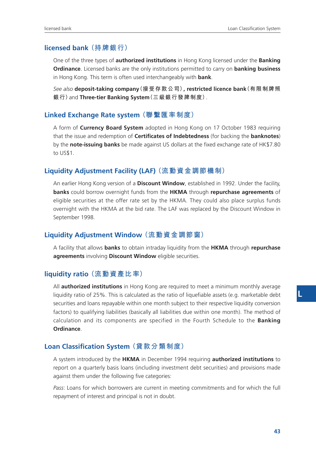## **licensed bank (持牌銀行)**

One of the three types of **authorized institutions** in Hong Kong licensed under the **Banking Ordinance**. Licensed banks are the only institutions permitted to carry on **banking business** in Hong Kong. This term is often used interchangeably with **bank**.

*See also* **deposit-taking company(接受存款公司), restricted licence bank(有限制牌照 銀行)**and **Three-tier Banking System(三級銀行發牌制度)**.

#### **Linked Exchange Rate system (聯繫匯率制度)**

A form of **Currency Board System** adopted in Hong Kong on 17 October 1983 requiring that the issue and redemption of **Certificates of Indebtedness** (for backing the **banknotes**) by the **note-issuing banks** be made against US dollars at the fixed exchange rate of HK\$7.80 to US\$1.

## **Liquidity Adjustment Facility (LAF) (流動資金調節機制)**

An earlier Hong Kong version of a **Discount Window**, established in 1992. Under the facility, **banks** could borrow overnight funds from the **HKMA** through **repurchase agreements** of eligible securities at the offer rate set by the HKMA. They could also place surplus funds overnight with the HKMA at the bid rate. The LAF was replaced by the Discount Window in September 1998.

#### **Liquidity Adjustment Window (流動資金調節窗)**

A facility that allows **banks** to obtain intraday liquidity from the **HKMA** through **repurchase agreements** involving **Discount Window** eligible securities.

#### **liquidity ratio (流動資產比率)**

All **authorized institutions** in Hong Kong are required to meet a minimum monthly average liquidity ratio of 25%. This is calculated as the ratio of liquefiable assets (e.g. marketable debt securities and loans repayable within one month subject to their respective liquidity conversion factors) to qualifying liabilities (basically all liabilities due within one month). The method of calculation and its components are specified in the Fourth Schedule to the **Banking Ordinance**.

## **Loan Classification System (貸款分類制度)**

A system introduced by the **HKMA** in December 1994 requiring **authorized institutions** to report on a quarterly basis loans (including investment debt securities) and provisions made against them under the following five categories:

*Pass*: Loans for which borrowers are current in meeting commitments and for which the full repayment of interest and principal is not in doubt.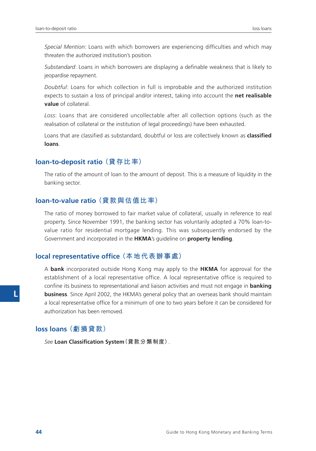*Special Mention*: Loans with which borrowers are experiencing difficulties and which may threaten the authorized institution's position.

*Substandard*: Loans in which borrowers are displaying a definable weakness that is likely to jeopardise repayment.

*Doubtful*: Loans for which collection in full is improbable and the authorized institution expects to sustain a loss of principal and/or interest, taking into account the **net realisable value** of collateral.

*Loss*: Loans that are considered uncollectable after all collection options (such as the realisation of collateral or the institution of legal proceedings) have been exhausted.

Loans that are classified as substandard, doubtful or loss are collectively known as **classified loans**.

#### **loan-to-deposit ratio (貸存比率)**

The ratio of the amount of loan to the amount of deposit. This is a measure of liquidity in the banking sector.

#### **loan-to-value ratio (貸款與估值比率)**

The ratio of money borrowed to fair market value of collateral, usually in reference to real property. Since November 1991, the banking sector has voluntarily adopted a 70% loan-tovalue ratio for residential mortgage lending. This was subsequently endorsed by the Government and incorporated in the **HKMA**'s guideline on **property lending**.

#### **local representative office (本地代表辦事處)**

A **bank** incorporated outside Hong Kong may apply to the **HKMA** for approval for the establishment of a local representative office. A local representative office is required to confine its business to representational and liaison activities and must not engage in **banking business**. Since April 2002, the HKMA's general policy that an overseas bank should maintain a local representative office for a minimum of one to two years before it can be considered for authorization has been removed.

#### **loss loans (虧損貸款)**

*See* **Loan Classification System(貸款分類制度)**.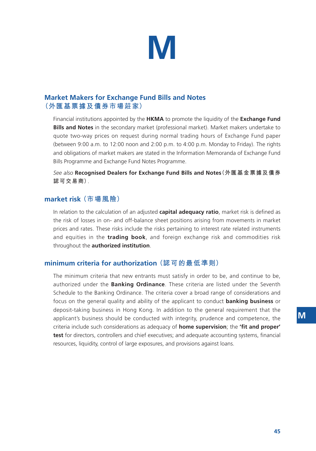

## **Market Makers for Exchange Fund Bills and Notes (外匯基票據及債券市場莊家)**

Financial institutions appointed by the **HKMA** to promote the liquidity of the **Exchange Fund Bills and Notes** in the secondary market (professional market). Market makers undertake to quote two-way prices on request during normal trading hours of Exchange Fund paper (between 9:00 a.m. to 12:00 noon and 2:00 p.m. to 4:00 p.m. Monday to Friday). The rights and obligations of market makers are stated in the Information Memoranda of Exchange Fund Bills Programme and Exchange Fund Notes Programme.

*See also* **Recognised Dealers for Exchange Fund Bills and Notes(外匯基金票據及債券 認可交易商)**.

#### **market risk (市場風險)**

In relation to the calculation of an adjusted **capital adequacy ratio**, market risk is defined as the risk of losses in on- and off-balance sheet positions arising from movements in market prices and rates. These risks include the risks pertaining to interest rate related instruments and equities in the **trading book**, and foreign exchange risk and commodities risk throughout the **authorized institution**.

### **minimum criteria for authorization (認可的最低準則)**

The minimum criteria that new entrants must satisfy in order to be, and continue to be, authorized under the **Banking Ordinance**. These criteria are listed under the Seventh Schedule to the Banking Ordinance. The criteria cover a broad range of considerations and focus on the general quality and ability of the applicant to conduct **banking business** or deposit-taking business in Hong Kong. In addition to the general requirement that the applicant's business should be conducted with integrity, prudence and competence, the criteria include such considerations as adequacy of **home supervision**; the **'fit and proper' test** for directors, controllers and chief executives; and adequate accounting systems, financial resources, liquidity, control of large exposures, and provisions against loans.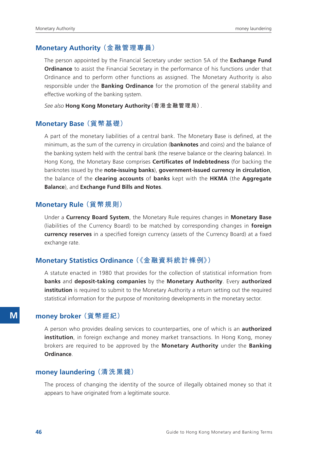#### **Monetary Authority (金融管理專員)**

The person appointed by the Financial Secretary under section 5A of the **Exchange Fund Ordinance** to assist the Financial Secretary in the performance of his functions under that Ordinance and to perform other functions as assigned. The Monetary Authority is also responsible under the **Banking Ordinance** for the promotion of the general stability and effective working of the banking system.

*See also* **Hong Kong Monetary Authority(香港金融管理局)**.

#### **Monetary Base (貨幣基礎)**

A part of the monetary liabilities of a central bank. The Monetary Base is defined, at the minimum, as the sum of the currency in circulation (**banknotes** and coins) and the balance of the banking system held with the central bank (the reserve balance or the clearing balance). In Hong Kong, the Monetary Base comprises **Certificates of Indebtedness** (for backing the banknotes issued by the **note-issuing banks**), **government-issued currency in circulation**, the balance of the **clearing accounts** of **banks** kept with the **HKMA** (the **Aggregate Balance**), and **Exchange Fund Bills and Notes**.

#### **Monetary Rule (貨幣規則)**

Under a **Currency Board System**, the Monetary Rule requires changes in **Monetary Base** (liabilities of the Currency Board) to be matched by corresponding changes in **foreign currency reserves** in a specified foreign currency (assets of the Currency Board) at a fixed exchange rate.

#### **Monetary Statistics Ordinance (《金融資料統計條例》)**

A statute enacted in 1980 that provides for the collection of statistical information from **banks** and **deposit-taking companies** by the **Monetary Authority**. Every **authorized institution** is required to submit to the Monetary Authority a return setting out the required statistical information for the purpose of monitoring developments in the monetary sector.

### **money broker (貨幣經紀)**

A person who provides dealing services to counterparties, one of which is an **authorized institution**, in foreign exchange and money market transactions. In Hong Kong, money brokers are required to be approved by the **Monetary Authority** under the **Banking Ordinance**.

#### **money laundering (清洗黑錢)**

The process of changing the identity of the source of illegally obtained money so that it appears to have originated from a legitimate source.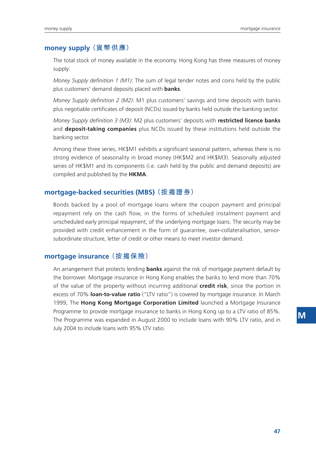#### **money supply (貨幣供應)**

The total stock of money available in the economy. Hong Kong has three measures of money supply:

*Money Supply definition 1 (M1)*: The sum of legal tender notes and coins held by the public plus customers' demand deposits placed with **banks**.

*Money Supply definition 2 (M2)*: M1 plus customers' savings and time deposits with banks plus negotiable certificates of deposit (NCDs) issued by banks held outside the banking sector.

*Money Supply definition 3 (M3)*: M2 plus customers' deposits with **restricted licence banks** and **deposit-taking companies** plus NCDs issued by these institutions held outside the banking sector.

Among these three series, HK\$M1 exhibits a significant seasonal pattern, whereas there is no strong evidence of seasonality in broad money (HK\$M2 and HK\$M3). Seasonally adjusted series of HK\$M1 and its components (i.e. cash held by the public and demand deposits) are compiled and published by the **HKMA**.

#### **mortgage-backed securities (MBS) (按揭證券)**

Bonds backed by a pool of mortgage loans where the coupon payment and principal repayment rely on the cash flow, in the forms of scheduled instalment payment and unscheduled early principal repayment, of the underlying mortgage loans. The security may be provided with credit enhancement in the form of guarantee, over-collateralisation, seniorsubordinate structure, letter of credit or other means to meet investor demand.

#### **mortgage insurance (按揭保險)**

An arrangement that protects lending **banks** against the risk of mortgage payment default by the borrower. Mortgage insurance in Hong Kong enables the banks to lend more than 70% of the value of the property without incurring additional **credit risk**, since the portion in excess of 70% **loan-to-value ratio** ("LTV ratio") is covered by mortgage insurance. In March 1999, The **Hong Kong Mortgage Corporation Limited** launched a Mortgage Insurance Programme to provide mortgage insurance to banks in Hong Kong up to a LTV ratio of 85%. The Programme was expanded in August 2000 to include loans with 90% LTV ratio, and in July 2004 to include loans with 95% LTV ratio.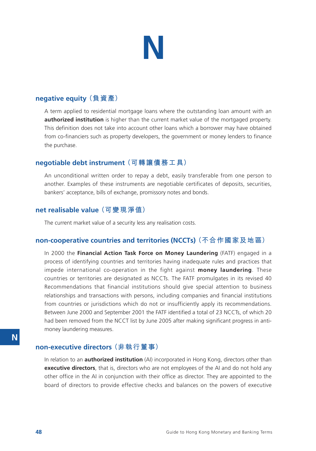

#### **negative equity (負資產)**

A term applied to residential mortgage loans where the outstanding loan amount with an **authorized institution** is higher than the current market value of the mortgaged property. This definition does not take into account other loans which a borrower may have obtained from co-financiers such as property developers, the government or money lenders to finance the purchase.

#### **negotiable debt instrument (可轉讓債務工具)**

An unconditional written order to repay a debt, easily transferable from one person to another. Examples of these instruments are negotiable certificates of deposits, securities, bankers' acceptance, bills of exchange, promissory notes and bonds.

### **net realisable value (可變現淨值)**

The current market value of a security less any realisation costs.

#### **non-cooperative countries and territories (NCCTs) (不合作國家及地區)**

In 2000 the **Financial Action Task Force on Money Laundering** (FATF) engaged in a process of identifying countries and territories having inadequate rules and practices that impede international co-operation in the fight against **money laundering**. These countries or territories are designated as NCCTs. The FATF promulgates in its revised 40 Recommendations that financial institutions should give special attention to business relationships and transactions with persons, including companies and financial institutions from countries or jurisdictions which do not or insufficiently apply its recommendations. Between June 2000 and September 2001 the FATF identified a total of 23 NCCTs, of which 20 had been removed from the NCCT list by June 2005 after making significant progress in antimoney laundering measures.

## **non-executive directors (非執行董事)**

In relation to an **authorized institution** (AI) incorporated in Hong Kong, directors other than **executive directors**, that is, directors who are not employees of the AI and do not hold any other office in the AI in conjunction with their office as director. They are appointed to the board of directors to provide effective checks and balances on the powers of executive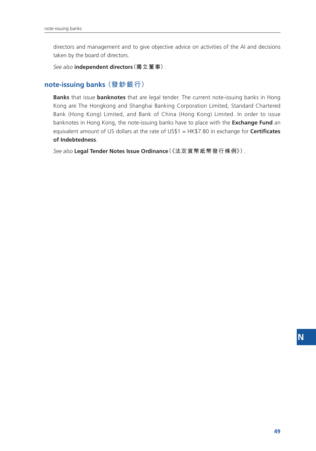directors and management and to give objective advice on activities of the AI and decisions taken by the board of directors.

*See also* **independent directors(獨立董事)**.

#### **note-issuing banks (發鈔銀行)**

**Banks** that issue **banknotes** that are legal tender. The current note-issuing banks in Hong Kong are The Hongkong and Shanghai Banking Corporation Limited, Standard Chartered Bank (Hong Kong) Limited, and Bank of China (Hong Kong) Limited. In order to issue banknotes in Hong Kong, the note-issuing banks have to place with the **Exchange Fund** an equivalent amount of US dollars at the rate of US\$1 = HK\$7.80 in exchange for **Certificates of Indebtedness**.

*See also* **Legal Tender Notes Issue Ordinance(《法定貨幣紙幣發行條例》)**.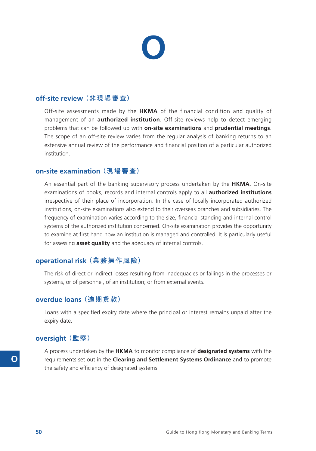# **O**

## **off-site review (非現場審查)**

Off-site assessments made by the **HKMA** of the financial condition and quality of management of an **authorized institution**. Off-site reviews help to detect emerging problems that can be followed up with **on-site examinations** and **prudential meetings**. The scope of an off-site review varies from the regular analysis of banking returns to an extensive annual review of the performance and financial position of a particular authorized institution.

### **on-site examination (現場審查)**

An essential part of the banking supervisory process undertaken by the **HKMA**. On-site examinations of books, records and internal controls apply to all **authorized institutions** irrespective of their place of incorporation. In the case of locally incorporated authorized institutions, on-site examinations also extend to their overseas branches and subsidiaries. The frequency of examination varies according to the size, financial standing and internal control systems of the authorized institution concerned. On-site examination provides the opportunity to examine at first hand how an institution is managed and controlled. It is particularly useful for assessing **asset quality** and the adequacy of internal controls.

#### **operational risk (業務操作風險)**

The risk of direct or indirect losses resulting from inadequacies or failings in the processes or systems, or of personnel, of an institution; or from external events.

#### **overdue loans (逾期貸款)**

Loans with a specified expiry date where the principal or interest remains unpaid after the expiry date.

#### **oversight (監察)**

A process undertaken by the **HKMA** to monitor compliance of **designated systems** with the requirements set out in the **Clearing and Settlement Systems Ordinance** and to promote the safety and efficiency of designated systems.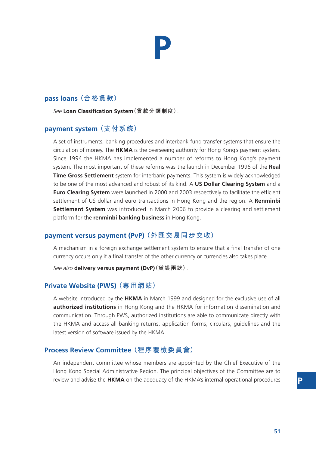## **P**

## **pass loans (合格貸款)**

*See* **Loan Classification System(貸款分類制度)**.

## **payment system (支付系統)**

A set of instruments, banking procedures and interbank fund transfer systems that ensure the circulation of money. The **HKMA** is the overseeing authority for Hong Kong's payment system. Since 1994 the HKMA has implemented a number of reforms to Hong Kong's payment system. The most important of these reforms was the launch in December 1996 of the **Real Time Gross Settlement** system for interbank payments. This system is widely acknowledged to be one of the most advanced and robust of its kind. A **US Dollar Clearing System** and a **Euro Clearing System** were launched in 2000 and 2003 respectively to facilitate the efficient settlement of US dollar and euro transactions in Hong Kong and the region. A **Renminbi Settlement System** was introduced in March 2006 to provide a clearing and settlement platform for the **renminbi banking business** in Hong Kong.

## **payment versus payment (PvP) (外匯交易同步交收)**

A mechanism in a foreign exchange settlement system to ensure that a final transfer of one currency occurs only if a final transfer of the other currency or currencies also takes place.

*See also* **delivery versus payment (DvP)(貨銀兩訖)**.

## **Private Website (PWS) (專用網站)**

A website introduced by the **HKMA** in March 1999 and designed for the exclusive use of all **authorized institutions** in Hong Kong and the HKMA for information dissemination and communication. Through PWS, authorized institutions are able to communicate directly with the HKMA and access all banking returns, application forms, circulars, guidelines and the latest version of software issued by the HKMA.

## **Process Review Committee (程序覆檢委員會)**

An independent committee whose members are appointed by the Chief Executive of the Hong Kong Special Administrative Region. The principal objectives of the Committee are to review and advise the **HKMA** on the adequacy of the HKMA's internal operational procedures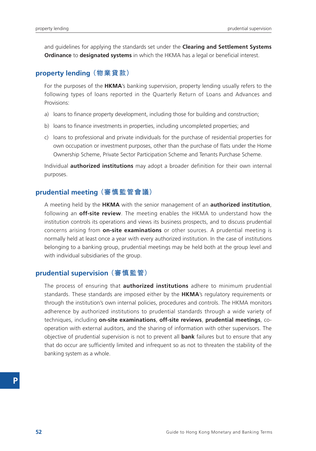and guidelines for applying the standards set under the **Clearing and Settlement Systems Ordinance** to **designated systems** in which the HKMA has a legal or beneficial interest.

#### **property lending (物業貸款)**

For the purposes of the **HKMA**'s banking supervision, property lending usually refers to the following types of loans reported in the Quarterly Return of Loans and Advances and Provisions:

- a) loans to finance property development, including those for building and construction;
- b) loans to finance investments in properties, including uncompleted properties; and
- c) loans to professional and private individuals for the purchase of residential properties for own occupation or investment purposes, other than the purchase of flats under the Home Ownership Scheme, Private Sector Participation Scheme and Tenants Purchase Scheme.

Individual **authorized institutions** may adopt a broader definition for their own internal purposes.

#### **prudential meeting (審慎監管會議)**

A meeting held by the **HKMA** with the senior management of an **authorized institution**, following an **off-site review**. The meeting enables the HKMA to understand how the institution controls its operations and views its business prospects, and to discuss prudential concerns arising from **on-site examinations** or other sources. A prudential meeting is normally held at least once a year with every authorized institution. In the case of institutions belonging to a banking group, prudential meetings may be held both at the group level and with individual subsidiaries of the group.

#### **prudential supervision (審慎監管)**

The process of ensuring that **authorized institutions** adhere to minimum prudential standards. These standards are imposed either by the **HKMA**'s regulatory requirements or through the institution's own internal policies, procedures and controls. The HKMA monitors adherence by authorized institutions to prudential standards through a wide variety of techniques, including **on-site examinations**, **off-site reviews**, **prudential meetings**, cooperation with external auditors, and the sharing of information with other supervisors. The objective of prudential supervision is not to prevent all **bank** failures but to ensure that any that do occur are sufficiently limited and infrequent so as not to threaten the stability of the banking system as a whole.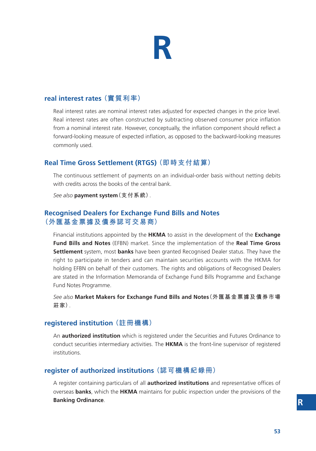## **R**

### **real interest rates (實質利率)**

Real interest rates are nominal interest rates adjusted for expected changes in the price level. Real interest rates are often constructed by subtracting observed consumer price inflation from a nominal interest rate. However, conceptually, the inflation component should reflect a forward-looking measure of expected inflation, as opposed to the backward-looking measures commonly used.

## **Real Time Gross Settlement (RTGS) (即時支付結算)**

The continuous settlement of payments on an individual-order basis without netting debits with credits across the books of the central bank.

*See also* **payment system(支付系統)**.

## **Recognised Dealers for Exchange Fund Bills and Notes (外匯基金票據及債券認可交易商)**

Financial institutions appointed by the **HKMA** to assist in the development of the **Exchange Fund Bills and Notes** (EFBN) market. Since the implementation of the **Real Time Gross Settlement** system, most **banks** have been granted Recognised Dealer status. They have the right to participate in tenders and can maintain securities accounts with the HKMA for holding EFBN on behalf of their customers. The rights and obligations of Recognised Dealers are stated in the Information Memoranda of Exchange Fund Bills Programme and Exchange Fund Notes Programme.

*See also* **Market Makers for Exchange Fund Bills and Notes(外匯基金票據及債券市場 莊家)**.

#### **registered institution (註冊機構)**

An **authorized institution** which is registered under the Securities and Futures Ordinance to conduct securities intermediary activities. The **HKMA** is the front-line supervisor of registered institutions.

## **register of authorized institutions (認可機構紀錄冊)**

A register containing particulars of all **authorized institutions** and representative offices of overseas **banks**, which the **HKMA** maintains for public inspection under the provisions of the **Banking Ordinance**.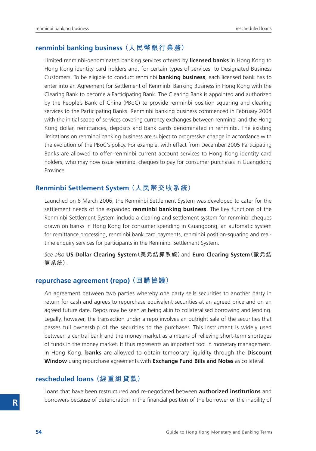#### **renminbi banking business (人民幣銀行業務)**

Limited renminbi-denominated banking services offered by **licensed banks** in Hong Kong to Hong Kong identity card holders and, for certain types of services, to Designated Business Customers. To be eligible to conduct renminbi **banking business**, each licensed bank has to enter into an Agreement for Settlement of Renminbi Banking Business in Hong Kong with the Clearing Bank to become a Participating Bank. The Clearing Bank is appointed and authorized by the People's Bank of China (PBoC) to provide renminbi position squaring and clearing services to the Participating Banks. Renminbi banking business commenced in February 2004 with the initial scope of services covering currency exchanges between renminbi and the Hong Kong dollar, remittances, deposits and bank cards denominated in renminbi. The existing limitations on renminbi banking business are subject to progressive change in accordance with the evolution of the PBoC's policy. For example, with effect from December 2005 Participating Banks are allowed to offer renminbi current account services to Hong Kong identity card holders, who may now issue renminbi cheques to pay for consumer purchases in Guangdong **Province** 

#### **Renminbi Settlement System (人民幣交收系統)**

Launched on 6 March 2006, the Renminbi Settlement System was developed to cater for the settlement needs of the expanded **renminbi banking business**. The key functions of the Renminbi Settlement System include a clearing and settlement system for renminbi cheques drawn on banks in Hong Kong for consumer spending in Guangdong, an automatic system for remittance processing, renminbi bank card payments, renminbi position-squaring and realtime enquiry services for participants in the Renminbi Settlement System.

*See also* **US Dollar Clearing System(美元結算系統)**and **Euro Clearing System(歐元結 算系統)**.

#### **repurchase agreement (repo) (回購協議)**

An agreement between two parties whereby one party sells securities to another party in return for cash and agrees to repurchase equivalent securities at an agreed price and on an agreed future date. Repos may be seen as being akin to collateralised borrowing and lending. Legally, however, the transaction under a repo involves an outright sale of the securities that passes full ownership of the securities to the purchaser. This instrument is widely used between a central bank and the money market as a means of relieving short-term shortages of funds in the money market. It thus represents an important tool in monetary management. In Hong Kong, **banks** are allowed to obtain temporary liquidity through the **Discount Window** using repurchase agreements with **Exchange Fund Bills and Notes** as collateral.

#### **rescheduled loans (經重組貸款)**

Loans that have been restructured and re-negotiated between **authorized institutions** and borrowers because of deterioration in the financial position of the borrower or the inability of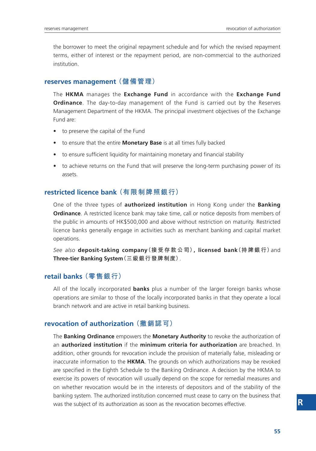the borrower to meet the original repayment schedule and for which the revised repayment terms, either of interest or the repayment period, are non-commercial to the authorized institution.

#### **reserves management (儲備管理)**

The **HKMA** manages the **Exchange Fund** in accordance with the **Exchange Fund Ordinance**. The day-to-day management of the Fund is carried out by the Reserves Management Department of the HKMA. The principal investment objectives of the Exchange Fund are:

- to preserve the capital of the Fund
- to ensure that the entire **Monetary Base** is at all times fully backed
- to ensure sufficient liquidity for maintaining monetary and financial stability
- to achieve returns on the Fund that will preserve the long-term purchasing power of its assets.

#### **restricted licence bank (有限制牌照銀行)**

One of the three types of **authorized institution** in Hong Kong under the **Banking Ordinance**. A restricted licence bank may take time, call or notice deposits from members of the public in amounts of HK\$500,000 and above without restriction on maturity. Restricted licence banks generally engage in activities such as merchant banking and capital market operations.

*See also* **deposit-taking company(接受存款公司), licensed bank(持牌銀行)**and **Three-tier Banking System(三級銀行發牌制度)**.

#### **retail banks (零售銀行)**

All of the locally incorporated **banks** plus a number of the larger foreign banks whose operations are similar to those of the locally incorporated banks in that they operate a local branch network and are active in retail banking business.

#### **revocation of authorization (撤銷認可)**

The **Banking Ordinance** empowers the **Monetary Authority** to revoke the authorization of an **authorized institution** if the **minimum criteria for authorization** are breached. In addition, other grounds for revocation include the provision of materially false, misleading or inaccurate information to the **HKMA**. The grounds on which authorizations may be revoked are specified in the Eighth Schedule to the Banking Ordinance. A decision by the HKMA to exercise its powers of revocation will usually depend on the scope for remedial measures and on whether revocation would be in the interests of depositors and of the stability of the banking system. The authorized institution concerned must cease to carry on the business that was the subject of its authorization as soon as the revocation becomes effective.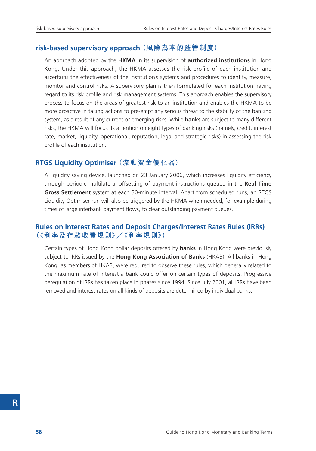#### **risk-based supervisory approach (風險為本的監管制度)**

An approach adopted by the **HKMA** in its supervision of **authorized institutions** in Hong Kong. Under this approach, the HKMA assesses the risk profile of each institution and ascertains the effectiveness of the institution's systems and procedures to identify, measure, monitor and control risks. A supervisory plan is then formulated for each institution having regard to its risk profile and risk management systems. This approach enables the supervisory process to focus on the areas of greatest risk to an institution and enables the HKMA to be more proactive in taking actions to pre-empt any serious threat to the stability of the banking system, as a result of any current or emerging risks. While **banks** are subject to many different risks, the HKMA will focus its attention on eight types of banking risks (namely, credit, interest rate, market, liquidity, operational, reputation, legal and strategic risks) in assessing the risk profile of each institution.

#### **RTGS Liquidity Optimiser (流動資金優化器)**

A liquidity saving device, launched on 23 January 2006, which increases liquidity efficiency through periodic multilateral offsetting of payment instructions queued in the **Real Time Gross Settlement** system at each 30-minute interval. Apart from scheduled runs, an RTGS Liquidity Optimiser run will also be triggered by the HKMA when needed, for example during times of large interbank payment flows, to clear outstanding payment queues.

### **Rules on Interest Rates and Deposit Charges/Interest Rates Rules (IRRs) (《利率及存款收費規則》/《利率規則》)**

Certain types of Hong Kong dollar deposits offered by **banks** in Hong Kong were previously subject to IRRs issued by the **Hong Kong Association of Banks** (HKAB). All banks in Hong Kong, as members of HKAB, were required to observe these rules, which generally related to the maximum rate of interest a bank could offer on certain types of deposits. Progressive deregulation of IRRs has taken place in phases since 1994. Since July 2001, all IRRs have been removed and interest rates on all kinds of deposits are determined by individual banks.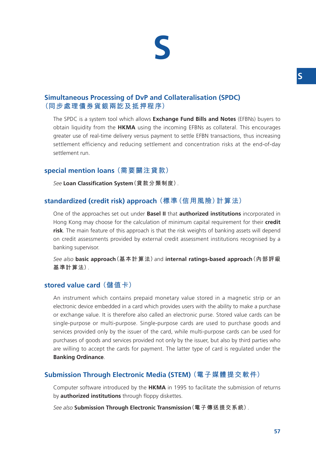## **S**

## **Simultaneous Processing of DvP and Collateralisation (SPDC) (同步處理債券貨銀兩訖及抵押程序)**

The SPDC is a system tool which allows **Exchange Fund Bills and Notes** (EFBNs) buyers to obtain liquidity from the **HKMA** using the incoming EFBNs as collateral. This encourages greater use of real-time delivery versus payment to settle EFBN transactions, thus increasing settlement efficiency and reducing settlement and concentration risks at the end-of-day settlement run.

## **special mention loans (需要關注貸款)**

*See* **Loan Classification System(貸款分類制度)**.

## **standardized (credit risk) approach (標準(信用風險)計算法)**

One of the approaches set out under **Basel II** that **authorized institutions** incorporated in Hong Kong may choose for the calculation of minimum capital requirement for their **credit risk**. The main feature of this approach is that the risk weights of banking assets will depend on credit assessments provided by external credit assessment institutions recognised by a banking supervisor.

*See also* **basic approach(基本計算法)**and **internal ratings-based approach(內部評級 基準計算法)**.

## **stored value card (儲值卡)**

An instrument which contains prepaid monetary value stored in a magnetic strip or an electronic device embedded in a card which provides users with the ability to make a purchase or exchange value. It is therefore also called an electronic purse. Stored value cards can be single-purpose or multi-purpose. Single-purpose cards are used to purchase goods and services provided only by the issuer of the card, while multi-purpose cards can be used for purchases of goods and services provided not only by the issuer, but also by third parties who are willing to accept the cards for payment. The latter type of card is regulated under the **Banking Ordinance**.

## **Submission Through Electronic Media (STEM) (電子媒體提交軟件)**

Computer software introduced by the **HKMA** in 1995 to facilitate the submission of returns by **authorized institutions** through floppy diskettes.

*See also* **Submission Through Electronic Transmission(電子傳送提交系統)**.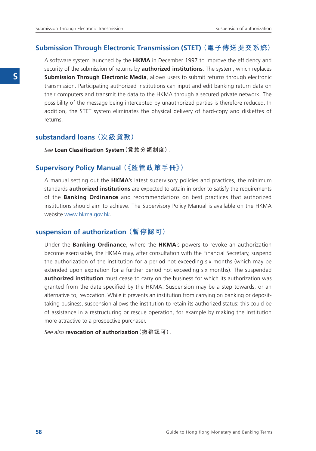#### **Submission Through Electronic Transmission (STET) (電子傳送提交系統)**

A software system launched by the **HKMA** in December 1997 to improve the efficiency and security of the submission of returns by **authorized institutions**. The system, which replaces **Submission Through Electronic Media**, allows users to submit returns through electronic transmission. Participating authorized institutions can input and edit banking return data on their computers and transmit the data to the HKMA through a secured private network. The possibility of the message being intercepted by unauthorized parties is therefore reduced. In addition, the STET system eliminates the physical delivery of hard-copy and diskettes of returns.

#### **substandard loans (次級貸款)**

*See* **Loan Classification System(貸款分類制度)**.

#### **Supervisory Policy Manual (《監管政策手冊》)**

A manual setting out the **HKMA**'s latest supervisory policies and practices, the minimum standards **authorized institutions** are expected to attain in order to satisfy the requirements of the **Banking Ordinance** and recommendations on best practices that authorized institutions should aim to achieve. The Supervisory Policy Manual is available on the HKMA website www.hkma.gov.hk.

#### **suspension of authorization (暫停認可)**

Under the **Banking Ordinance**, where the **HKMA**'s powers to revoke an authorization become exercisable, the HKMA may, after consultation with the Financial Secretary, suspend the authorization of the institution for a period not exceeding six months (which may be extended upon expiration for a further period not exceeding six months). The suspended **authorized institution** must cease to carry on the business for which its authorization was granted from the date specified by the HKMA. Suspension may be a step towards, or an alternative to, revocation. While it prevents an institution from carrying on banking or deposittaking business, suspension allows the institution to retain its authorized status: this could be of assistance in a restructuring or rescue operation, for example by making the institution more attractive to a prospective purchaser.

*See also* **revocation of authorization(撤銷認可)**.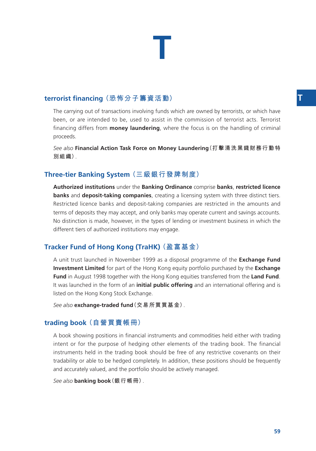## **T**

## **terrorist financing (恐怖分子籌資活動) T**

The carrying out of transactions involving funds which are owned by terrorists, or which have been, or are intended to be, used to assist in the commission of terrorist acts. Terrorist financing differs from **money laundering**, where the focus is on the handling of criminal proceeds.

*See also* **Financial Action Task Force on Money Laundering(打擊清洗黑錢財務行動特 別組織)**.

## **Three-tier Banking System (三級銀行發牌制度)**

**Authorized institutions** under the **Banking Ordinance** comprise **banks**, **restricted licence banks** and **deposit-taking companies**, creating a licensing system with three distinct tiers. Restricted licence banks and deposit-taking companies are restricted in the amounts and terms of deposits they may accept, and only banks may operate current and savings accounts. No distinction is made, however, in the types of lending or investment business in which the different tiers of authorized institutions may engage.

## **Tracker Fund of Hong Kong (TraHK) (盈富基金)**

A unit trust launched in November 1999 as a disposal programme of the **Exchange Fund Investment Limited** for part of the Hong Kong equity portfolio purchased by the **Exchange Fund** in August 1998 together with the Hong Kong equities transferred from the **Land Fund**. It was launched in the form of an **initial public offering** and an international offering and is listed on the Hong Kong Stock Exchange.

*See also* **exchange-traded fund(交易所買買基金)**.

#### **trading book (自營買賣帳冊)**

A book showing positions in financial instruments and commodities held either with trading intent or for the purpose of hedging other elements of the trading book. The financial instruments held in the trading book should be free of any restrictive covenants on their tradability or able to be hedged completely. In addition, these positions should be frequently and accurately valued, and the portfolio should be actively managed.

*See also* **banking book(銀行帳冊)**.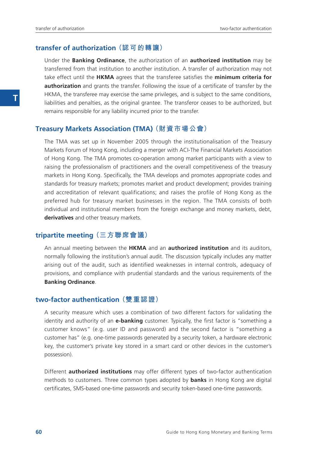#### **transfer of authorization (認可的轉讓)**

Under the **Banking Ordinance**, the authorization of an **authorized institution** may be transferred from that institution to another institution. A transfer of authorization may not take effect until the **HKMA** agrees that the transferee satisfies the **minimum criteria for authorization** and grants the transfer. Following the issue of a certificate of transfer by the HKMA, the transferee may exercise the same privileges, and is subject to the same conditions, liabilities and penalties, as the original grantee. The transferor ceases to be authorized, but remains responsible for any liability incurred prior to the transfer.

#### **Treasury Markets Association (TMA) (財資市場公會)**

The TMA was set up in November 2005 through the institutionalisation of the Treasury Markets Forum of Hong Kong, including a merger with ACI-The Financial Markets Association of Hong Kong. The TMA promotes co-operation among market participants with a view to raising the professionalism of practitioners and the overall competitiveness of the treasury markets in Hong Kong. Specifically, the TMA develops and promotes appropriate codes and standards for treasury markets; promotes market and product development; provides training and accreditation of relevant qualifications; and raises the profile of Hong Kong as the preferred hub for treasury market businesses in the region. The TMA consists of both individual and institutional members from the foreign exchange and money markets, debt, **derivatives** and other treasury markets.

#### **tripartite meeting (三方聯席會議)**

An annual meeting between the **HKMA** and an **authorized institution** and its auditors, normally following the institution's annual audit. The discussion typically includes any matter arising out of the audit, such as identified weaknesses in internal controls, adequacy of provisions, and compliance with prudential standards and the various requirements of the **Banking Ordinance**.

#### **two-factor authentication (雙重認證)**

A security measure which uses a combination of two different factors for validating the identity and authority of an **e-banking** customer. Typically, the first factor is "something a customer knows" (e.g. user ID and password) and the second factor is "something a customer has" (e.g. one-time passwords generated by a security token, a hardware electronic key, the customer's private key stored in a smart card or other devices in the customer's possession).

Different **authorized institutions** may offer different types of two-factor authentication methods to customers. Three common types adopted by **banks** in Hong Kong are digital certificates, SMS-based one-time passwords and security token-based one-time passwords.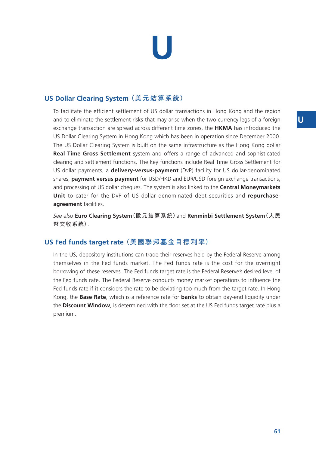# **U**

## **US Dollar Clearing System (美元結算系統)**

To facilitate the efficient settlement of US dollar transactions in Hong Kong and the region and to eliminate the settlement risks that may arise when the two currency legs of a foreign exchange transaction are spread across different time zones, the **HKMA** has introduced the US Dollar Clearing System in Hong Kong which has been in operation since December 2000. The US Dollar Clearing System is built on the same infrastructure as the Hong Kong dollar **Real Time Gross Settlement** system and offers a range of advanced and sophisticated clearing and settlement functions. The key functions include Real Time Gross Settlement for US dollar payments, a **delivery-versus-payment** (DvP) facility for US dollar-denominated shares, **payment versus payment** for USD/HKD and EUR/USD foreign exchange transactions, and processing of US dollar cheques. The system is also linked to the **Central Moneymarkets Unit** to cater for the DvP of US dollar denominated debt securities and **repurchaseagreement** facilities.

*See also* **Euro Clearing System(歐元結算系統)**and **Renminbi Settlement System(人民 幣交收系統)**.

## **US Fed funds target rate (美國聯邦基金目標利率)**

In the US, depository institutions can trade their reserves held by the Federal Reserve among themselves in the Fed funds market. The Fed funds rate is the cost for the overnight borrowing of these reserves. The Fed funds target rate is the Federal Reserve's desired level of the Fed funds rate. The Federal Reserve conducts money market operations to influence the Fed funds rate if it considers the rate to be deviating too much from the target rate. In Hong Kong, the **Base Rate**, which is a reference rate for **banks** to obtain day-end liquidity under the **Discount Window**, is determined with the floor set at the US Fed funds target rate plus a premium.